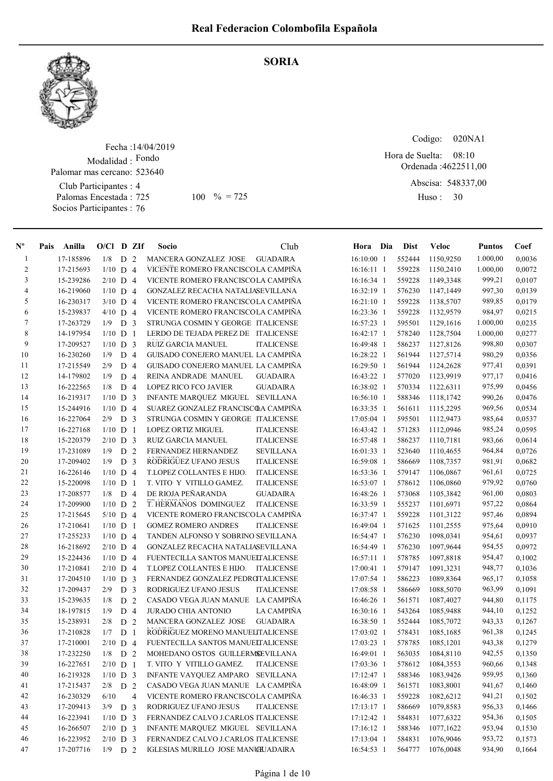SORIA



## Fecha : 14/04/2019 Modalidad : Fondo Club Participantes : 4 Palomas Encestada : Socios Participantes : 76 Palomar mas cercano: 523640 725 100 % = 725 Huso: 30

Codigo: 020NA1

Ordenada : 4622511,00 Abscisa: 548337,00 08:10 Hora de Suelta:

Huso: 30

| $N^{\circ}$    | Pais | Anilla    | $O/Cl$ D ZIf |                |                | Socio                               | Club              | Hora Dia     | <b>Dist</b> | <b>Veloc</b>           | <b>Puntos</b> | Coef   |
|----------------|------|-----------|--------------|----------------|----------------|-------------------------------------|-------------------|--------------|-------------|------------------------|---------------|--------|
| $\mathbf{1}$   |      | 17-185896 | $1/8$ D $2$  |                |                | MANCERA GONZALEZ JOSE               | <b>GUADAIRA</b>   | 16:10:00 1   | 552444      | 1150,9250              | 1.000,00      | 0,0036 |
| $\overline{c}$ |      | 17-215693 | $1/10$ D 4   |                |                | VICENTE ROMERO FRANCISCOLA CAMPIÑA  |                   | $16:16:11$ 1 | 559228      | 1150,2410              | 1.000,00      | 0,0072 |
| 3              |      | 15-239286 | $2/10$ D 4   |                |                | VICENTE ROMERO FRANCISCOLA CAMPINA  |                   | 16:16:34 1   | 559228      | 1149,3348              | 999,21        | 0,0107 |
| 4              |      | 16-219060 | $1/10$ D 4   |                |                | GONZALEZ RECACHA NATALIASEVILLANA   |                   | 16:32:19 1   | 576230      | 1147,1449              | 997,30        | 0,0139 |
| 5              |      | 16-230317 | $3/10$ D 4   |                |                | VICENTE ROMERO FRANCISCOLA CAMPIÑA  |                   | 16:21:10 1   | 559228      | 1138,5707              | 989,85        | 0,0179 |
| 6              |      | 15-239837 | $4/10$ D 4   |                |                | VICENTE ROMERO FRANCISCOLA CAMPIÑA  |                   | 16:23:36 1   | 559228      | 1132,9579              | 984,97        | 0,0215 |
| $\tau$         |      | 17-263729 | 1/9          | D <sub>3</sub> |                | STRUNGA COSMIN Y GEORGE ITALICENSE  |                   | 16:57:23 1   | 595501      | 1129,1616              | 1.000,00      | 0,0235 |
| 8              |      | 14-197954 | $1/10$ D     |                | $\overline{1}$ | LERDO DE TEJADA PEREZ DE ITALICENSE |                   | 16:42:17 1   | 578240      | 1128,7504              | 1.000,00      | 0,0277 |
| 9              |      | 17-209527 | $1/10$ D 3   |                |                | <b>RUIZ GARCIA MANUEL</b>           | <b>ITALICENSE</b> | 16:49:48 1   | 586237      | 1127,8126              | 998,80        | 0,0307 |
| 10             |      | 16-230260 | 1/9          | D <sub>4</sub> |                | GUISADO CONEJERO MANUEL LA CAMPIÑA  |                   | 16:28:22 1   | 561944      | 1127,5714              | 980,29        | 0,0356 |
| 11             |      | 17-215549 | 2/9          | D              | $\overline{4}$ | GUISADO CONEJERO MANUEL LA CAMPIÑA  |                   | 16:29:50 1   | 561944      | 1124,2628              | 977,41        | 0,0391 |
| 12             |      | 14-179802 | 1/9          | D <sub>4</sub> |                | REINA ANDRADE MANUEL                | <b>GUADAIRA</b>   | 16:43:22 1   | 577020      | 1123,9919              | 977,17        | 0,0416 |
| 13             |      | 16-222565 | 1/8          | D 4            |                | LOPEZ RICO FCO JAVIER               | <b>GUADAIRA</b>   | 16:38:02 1   | 570334      | 1122,6311              | 975,99        | 0,0456 |
| 14             |      | 16-219317 | $1/10$ D 3   |                |                | INFANTE MARQUEZ MIGUEL SEVILLANA    |                   | 16:56:10 1   | 588346      | 1118,1742              | 990,26        | 0,0476 |
| 15             |      | 15-244916 | $1/10$ D 4   |                |                | SUAREZ GONZALEZ FRANCISCOA CAMPIÑA  |                   | 16:33:35 1   | 561611      | 1115,2295              | 969,56        | 0,0534 |
| 16             |      | 16-227064 | 2/9          | D <sub>3</sub> |                | STRUNGA COSMIN Y GEORGE ITALICENSE  |                   | 17:05:04 1   | 595501      | 1112,9473              | 985,64        | 0,0537 |
| 17             |      | 16-227168 | $1/10$ D     |                | $\overline{1}$ | LOPEZ ORTIZ MIGUEL                  | <b>ITALICENSE</b> | 16:43:42 1   | 571283      | 1112,0946              | 985,24        | 0,0595 |
| 18             |      | 15-220379 | $2/10$ D 3   |                |                | <b>RUIZ GARCIA MANUEL</b>           | <b>ITALICENSE</b> | 16:57:48 1   | 586237      | 1110,7181              | 983,66        | 0,0614 |
| 19             |      | 17-231089 | 1/9          | D <sub>2</sub> |                | FERNANDEZ HERNANDEZ                 | <b>SEVILLANA</b>  | 16:01:33 1   | 523640      | 1110,4655              | 964,84        | 0,0726 |
| 20             |      | 17-209402 | 1/9          | D <sub>3</sub> |                | RODRIGUEZ UFANO JESUS               | <b>ITALICENSE</b> | 16:59:08 1   | 586669      | 1108,7357              | 981,91        | 0,0682 |
| 21             |      | 16-226146 | $1/10$ D 4   |                |                | T.LOPEZ COLLANTES E HIJO.           | <b>ITALICENSE</b> | 16:53:36 1   | 579147      | 1106,0867              | 961,61        | 0,0725 |
| 22             |      | 15-220098 | $1/10$ D 1   |                |                | T. VITO Y VITILLO GAMEZ.            | <b>ITALICENSE</b> | 16:53:07 1   | 578612      | 1106,0860              | 979,92        | 0,0760 |
| 23             |      | 17-208577 | 1/8          | D 4            |                | DE RIOJA PEÑARANDA                  | <b>GUADAIRA</b>   | 16:48:26 1   | 573068      | 1105,3842              | 961,00        | 0,0803 |
| 24             |      | 17-209900 | $1/10$ D 2   |                |                | T. HERMANOS DOMINGUEZ               | <b>ITALICENSE</b> | 16:33:59 1   | 555237      | 1101,6971              | 957,22        | 0,0864 |
| 25             |      | 17-215645 | $5/10$ D 4   |                |                | VICENTE ROMERO FRANCISCOLA CAMPIÑA  |                   | 16:37:47 1   | 559228      | 1101,3122              | 957,46        | 0,0894 |
| 26             |      | 17-210641 | $1/10$ D     |                | $\overline{1}$ | <b>GOMEZ ROMERO ANDRES</b>          | <b>ITALICENSE</b> | 16:49:04 1   | 571625      | 1101,2555              | 975,64        | 0,0910 |
| 27             |      | 17-255233 | $1/10$ D 4   |                |                | TANDEN ALFONSO Y SOBRINO SEVILLANA  |                   | 16:54:47 1   | 576230      | 1098,0341              | 954,61        | 0,0937 |
| 28             |      | 16-218692 | $2/10$ D 4   |                |                | GONZALEZ RECACHA NATALIASEVILLANA   |                   | 16:54:49 1   | 576230      | 1097,9644              | 954,55        | 0,0972 |
| 29             |      | 15-224436 | $1/10$ D 4   |                |                | FUENTECILLA SANTOS MANUELTALICENSE  |                   | 16:57:11 1   | 578785      | 1097,8818              | 954,47        | 0,1002 |
| 30             |      | 17-210841 | $2/10$ D 4   |                |                | T.LOPEZ COLLANTES E HIJO.           | <b>ITALICENSE</b> | 17:00:41 1   | 579147      | 1091,3231              | 948,77        | 0,1036 |
| 31             |      | 17-204510 | $1/10$ D 3   |                |                | FERNANDEZ GONZALEZ PEDROTALICENSE   |                   | 17:07:54 1   | 586223      | 1089,8364              | 965,17        | 0,1058 |
| 32             |      | 17-209437 | 2/9          | D <sub>3</sub> |                | RODRIGUEZ UFANO JESUS               | <b>ITALICENSE</b> | 17:08:58 1   | 586669      | 1088,5070              | 963,99        | 0,1091 |
| 33             |      | 15-239635 | 1/8          | D <sub>2</sub> |                | CASADO VEGA JUAN MANUE LA CAMPIÑA   |                   | 16:46:26 1   | 561571      | 1087,4027              | 944,80        | 0,1175 |
| 34             |      | 18-197815 | 1/9          | D 4            |                | <b>JURADO CHIA ANTONIO</b>          | LA CAMPIÑA        | $16:30:16$ 1 | 543264      | 1085,9488              | 944,10        | 0,1252 |
| 35             |      | 15-238931 | 2/8          | D              | 2              | MANCERA GONZALEZ JOSE               | <b>GUADAIRA</b>   | 16:38:50 1   | 552444      | 1085,7072              | 943,33        | 0,1267 |
| 36             |      | 17-210828 | 1/7          | D              | $\mathbf{1}$   | RODRIGUEZ MORENO MANUELITALICENSE   |                   | 17:03:02 1   | 578431      |                        | 961,38        | 0,1245 |
| 37             |      | 17-210001 | $2/10$ D 4   |                |                | FUENTECILLA SANTOS MANUELTALICENSE  |                   | $17:03:23$ 1 | 578785      | 1085,1685<br>1085,1201 | 943,38        | 0,1279 |
|                |      | 17-232250 |              |                |                |                                     |                   |              | 563035      |                        |               | 0,1350 |
| 38             |      |           | $1/8$ D $2$  |                |                | MOHEDANO OSTOS GUILLERMSEVILLANA    |                   | 16:49:01 1   |             | 1084,8110              | 942,55        |        |
| 39             |      | 16-227651 | $2/10$ D 1   |                |                | T. VITO Y VITILLO GAMEZ.            | <b>ITALICENSE</b> | 17:03:36 1   | 578612      | 1084,3553              | 960,66        | 0,1348 |
| 40             |      | 16-219328 | $1/10$ D 3   |                |                | INFANTE VAYQUEZ AMPARO              | SEVILLANA         | 17:12:47 1   | 588346      | 1083,9426              | 959,95        | 0,1360 |
| 41             |      | 17-215437 | $2/8$ D $2$  |                |                | CASADO VEGA JUAN MANUE LA CAMPIÑA   |                   | 16:48:09 1   | 561571      | 1083,8001              | 941,67        | 0,1460 |
| 42             |      | 16-230329 | 6/10         |                | 4              | VICENTE ROMERO FRANCISCOLA CAMPIÑA  |                   | 16:46:33 1   | 559228      | 1082,6212              | 941,21        | 0,1502 |
| 43             |      | 17-209413 | $3/9$ D 3    |                |                | RODRIGUEZ UFANO JESUS               | <b>ITALICENSE</b> | 17:13:17 1   | 586669      | 1079,8583              | 956,33        | 0,1466 |
| 44             |      | 16-223941 | $1/10$ D 3   |                |                | FERNANDEZ CALVO J.CARLOS ITALICENSE |                   | 17:12:42 1   | 584831      | 1077,6322              | 954,36        | 0,1505 |
| 45             |      | 16-266507 | $2/10$ D 3   |                |                | INFANTE MARQUEZ MIGUEL SEVILLANA    |                   | 17:16:12 1   | 588346      | 1077,1622              | 953,94        | 0,1530 |
| 46             |      | 16-223952 | $2/10$ D 3   |                |                | FERNANDEZ CALVO J.CARLOS ITALICENSE |                   | 17:13:04 1   | 584831      | 1076,9046              | 953,72        | 0,1573 |
| 47             |      | 17-207716 | $1/9$ D 2    |                |                | IGLESIAS MURILLO JOSE MANCILJADAIRA |                   | 16:54:53 1   | 564777      | 1076,0048              | 934,90        | 0,1664 |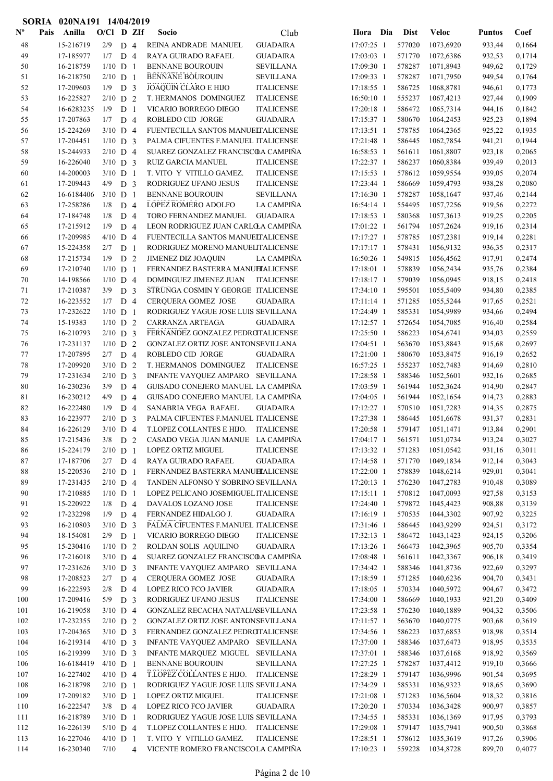|                           |      | SORIA 020NA191 14/04/2019 |            |                |   |                                      |                   |              |             |              |               |        |
|---------------------------|------|---------------------------|------------|----------------|---|--------------------------------------|-------------------|--------------|-------------|--------------|---------------|--------|
| $\mathbf{N}^{\mathbf{o}}$ | Pais | Anilla                    | O/Cl D ZIf |                |   | Socio                                | Club              | Hora Dia     | <b>Dist</b> | <b>Veloc</b> | <b>Puntos</b> | Coef   |
| 48                        |      | 15-216719                 | $2/9$ D 4  |                |   | REINA ANDRADE MANUEL                 | <b>GUADAIRA</b>   | 17:07:25 1   | 577020      | 1073,6920    | 933,44        | 0,1664 |
| 49                        |      | 17-185977                 | $1/7$ D 4  |                |   | RAYA GUIRADO RAFAEL                  | <b>GUADAIRA</b>   | 17:03:03 1   | 571770      | 1072,6386    | 932,53        | 0,1714 |
| 50                        |      | 16-218759                 | $1/10$ D 1 |                |   | <b>BENNANE BOUROUIN</b>              | <b>SEVILLANA</b>  | 17:09:30 1   | 578287      | 1071,8943    | 949,62        | 0,1729 |
| 51                        |      | 16-218750                 | $2/10$ D 1 |                |   | BENNANE BOUROUIN                     | <b>SEVILLANA</b>  | 17:09:33 1   | 578287      | 1071,7950    | 949,54        | 0,1764 |
| 52                        |      | 17-209603                 | $1/9$ D 3  |                |   | <b>JOAQUIN CLARO E HIJO</b>          | <b>ITALICENSE</b> | 17:18:55 1   | 586725      | 1068,8781    | 946,61        | 0,1773 |
| 53                        |      | 16-225827                 | $2/10$ D 2 |                |   | T. HERMANOS DOMINGUEZ                | <b>ITALICENSE</b> | 16:50:10 1   | 555237      | 1067,4213    | 927,44        | 0,1909 |
| 54                        |      | 16-6283235                | 1/9        | D <sub>1</sub> |   | VICARIO BORREGO DIEGO                | <b>ITALICENSE</b> | 17:20:18 1   | 586472      | 1065,7314    | 944,16        | 0,1842 |
| 55                        |      | 17-207863                 | $1/7$ D 4  |                |   | ROBLEDO CID JORGE                    | <b>GUADAIRA</b>   | $17:15:37$ 1 | 580670      | 1064,2453    | 925,23        | 0,1894 |
| 56                        |      | 15-224269                 | $3/10$ D 4 |                |   | FUENTECILLA SANTOS MANUELTALICENSE   |                   | 17:13:51 1   | 578785      | 1064,2365    | 925,22        | 0,1935 |
| 57                        |      | 17-204451                 | $1/10$ D 3 |                |   | PALMA CIFUENTES F.MANUEL ITALICENSE  |                   | 17:21:48 1   | 586445      | 1062,7854    | 941,21        | 0,1944 |
| 58                        |      | 15-244933                 | $2/10$ D 4 |                |   | SUAREZ GONZALEZ FRANCISCOA CAMPIÑA   |                   | 16:58:53 1   | 561611      | 1061,8807    | 923,18        | 0,2065 |
| 59                        |      | 16-226040                 | $3/10$ D 3 |                |   | <b>RUIZ GARCIA MANUEL</b>            | <b>ITALICENSE</b> | 17:22:37 1   | 586237      | 1060,8384    | 939,49        | 0,2013 |
| 60                        |      | 14-200003                 | $3/10$ D 1 |                |   | T. VITO Y VITILLO GAMEZ.             | <b>ITALICENSE</b> | 17:15:53 1   | 578612      | 1059,9554    | 939,05        | 0,2074 |
| 61                        |      | 17-209443                 | $4/9$ D 3  |                |   | RODRIGUEZ UFANO JESUS                | <b>ITALICENSE</b> | 17:23:44 1   | 586669      | 1059,4793    | 938,28        | 0,2080 |
| 62                        |      | 16-6184406                | $3/10$ D 1 |                |   | <b>BENNANE BOUROUIN</b>              | <b>SEVILLANA</b>  | 17:16:30 1   | 578287      | 1058,1647    | 937,46        | 0,2144 |
| 63                        |      | 17-258286                 | 1/8        | D <sub>4</sub> |   | LOPEZ ROMERO ADOLFO                  | LA CAMPIÑA        | 16:54:14 1   | 554495      | 1057,7256    | 919,56        | 0,2272 |
| 64                        |      | 17-184748                 | 1/8        | D <sub>4</sub> |   | TORO FERNANDEZ MANUEL                | <b>GUADAIRA</b>   | 17:18:53 1   | 580368      | 1057,3613    | 919,25        | 0,2205 |
| 65                        |      | 17-215912                 | 1/9        | D <sub>4</sub> |   | LEON RODRIGUEZ JUAN CARLO A CAMPIÑA  |                   | 17:01:22 1   | 561794      | 1057,2624    | 919,16        | 0,2314 |
| 66                        |      | 17-209985                 | $4/10$ D 4 |                |   | FUENTECILLA SANTOS MANUELTALICENSE   |                   | $17:17:27$ 1 | 578785      | 1057,2381    | 919,14        | 0,2281 |
| 67                        |      | 15-224358                 | $2/7$ D 1  |                |   | RODRIGUEZ MORENO MANUELITALICENSE    |                   | $17:17:17$ 1 | 578431      | 1056,9132    | 936,35        | 0,2317 |
| 68                        |      | 17-215734                 | 1/9        | D <sub>2</sub> |   | JIMENEZ DIZ JOAQUIN                  | LA CAMPIÑA        | 16:50:26 1   | 549815      | 1056,4562    | 917,91        | 0,2474 |
| 69                        |      | 17-210740                 | $1/10$ D 1 |                |   | FERNANDEZ BASTERRA MANUELALICENSE    |                   | $17:18:01$ 1 | 578839      | 1056,2434    | 935,76        | 0,2384 |
| 70                        |      | 14-198566                 | $1/10$ D 4 |                |   | DOMINGUEZ JIMENEZ JUAN               | <b>ITALICENSE</b> | 17:18:17 1   | 579039      | 1056,0945    | 918,15        | 0,2418 |
| 71                        |      | 17-210387                 | $3/9$ D 3  |                |   | STRUNGA COSMIN Y GEORGE ITALICENSE   |                   | 17:34:10 1   | 595501      | 1055,5409    | 934,80        | 0,2385 |
| 72                        |      | 16-223552                 | $1/7$ D 4  |                |   | <b>CERQUERA GOMEZ JOSE</b>           | <b>GUADAIRA</b>   | $17:11:14$ 1 | 571285      | 1055,5244    | 917,65        | 0,2521 |
| 73                        |      | 17-232622                 | $1/10$ D 1 |                |   | RODRIGUEZ YAGUE JOSE LUIS SEVILLANA  |                   | 17:24:49 1   | 585331      | 1054,9989    | 934,66        | 0,2494 |
| 74                        |      | 15-19383                  | $1/10$ D 2 |                |   | CARRANZA ARTEAGA                     | <b>GUADAIRA</b>   | 17:12:57 1   | 572654      | 1054,7085    | 916,40        | 0,2584 |
| 75                        |      | 16-210793                 | $2/10$ D 3 |                |   | FERNANDEZ GONZALEZ PEDROTALICENSE    |                   | 17:25:50 1   | 586223      | 1054,6741    | 934,03        | 0,2559 |
| 76                        |      | 17-231137                 | $1/10$ D 2 |                |   | GONZALEZ ORTIZ JOSE ANTONSEVILLANA   |                   | 17:04:51 1   | 563670      | 1053,8843    | 915,68        | 0,2697 |
| 77                        |      | 17-207895                 | $2/7$ D 4  |                |   | ROBLEDO CID JORGE                    | <b>GUADAIRA</b>   | 17:21:00 1   | 580670      | 1053,8475    | 916,19        | 0,2652 |
| 78                        |      | 17-209920                 | $3/10$ D 2 |                |   | T. HERMANOS DOMINGUEZ                | <b>ITALICENSE</b> | 16:57:25 1   | 555237      | 1052,7483    | 914,69        | 0,2810 |
| 79                        |      | 17-231634                 | $2/10$ D 3 |                |   | INFANTE VAYQUEZ AMPARO SEVILLANA     |                   | 17:28:58 1   | 588346      | 1052,5601    | 932,16        | 0,2685 |
| 80                        |      | 16-230236                 | 3/9        | D <sub>4</sub> |   | GUISADO CONEJERO MANUEL LA CAMPIÑA   |                   | 17:03:59 1   | 561944      | 1052,3624    | 914,90        | 0,2847 |
| 81                        |      | 16-230212                 | 4/9        | D 4            |   | GUISADO CONEJERO MANUEL LA CAMPIÑA   |                   | 17:04:05 1   | 561944      | 1052,1654    | 914,73        | 0,2883 |
| 82                        |      | 16-222480                 | 1/9        | D <sub>4</sub> |   | SANABRIA VEGA RAFAEL                 | <b>GUADAIRA</b>   | 17:12:27 1   | 570510      | 1051,7283    | 914,35        | 0,2875 |
| 83                        |      | 16-223977                 | $2/10$ D 3 |                |   | PALMA CIFUENTES F.MANUEL ITALICENSE  |                   | 17:27:38 1   | 586445      | 1051,6678    | 931,37        | 0,2831 |
| 84                        |      | 16-226129                 | $3/10$ D 4 |                |   | T.LOPEZ COLLANTES E HIJO. ITALICENSE |                   | 17:20:58 1   | 579147      | 1051,1471    | 913,84        | 0,2901 |
| 85                        |      | 17-215436                 | $3/8$ D 2  |                |   | CASADO VEGA JUAN MANUE LA CAMPIÑA    |                   | 17:04:17 1   | 561571      | 1051,0734    | 913,24        | 0,3027 |
| 86                        |      | 15-224179                 | $2/10$ D 1 |                |   | <b>LOPEZ ORTIZ MIGUEL</b>            | <b>ITALICENSE</b> | 17:13:32 1   | 571283      | 1051,0542    | 931,16        | 0,3011 |
| 87                        |      | 17-187706                 | $2/7$ D 4  |                |   | RAYA GUIRADO RAFAEL                  | <b>GUADAIRA</b>   | 17:14:58 1   | 571770      | 1049,1834    | 912,14        | 0,3043 |
| $88\,$                    |      | 15-220536                 | $2/10$ D 1 |                |   | FERNANDEZ BASTERRA MANUELALICENSE    |                   | 17:22:00 1   | 578839      | 1048,6214    | 929,01        | 0,3041 |
| 89                        |      | 17-231435                 | $2/10$ D 4 |                |   | TANDEN ALFONSO Y SOBRINO SEVILLANA   |                   | 17:20:13 1   | 576230      | 1047,2783    | 910,48        | 0,3089 |
| 90                        |      | 17-210885                 | $1/10$ D 1 |                |   | LOPEZ PELICANO JOSEMIGUEL ITALICENSE |                   | 17:15:11 1   | 570812      | 1047,0093    | 927,58        | 0,3153 |
| 91                        |      | 15-220922                 | $1/8$ D 4  |                |   | DAVALOS LOZANO JOSE                  | <b>ITALICENSE</b> | 17:24:40 1   | 579872      | 1045,4423    | 908,88        | 0,3139 |
| 92                        |      | 17-232298                 | $1/9$ D 4  |                |   | FERNANDEZ HIDALGO J.                 | <b>GUADAIRA</b>   | 17:16:19 1   | 570535      | 1044,3302    | 907,92        | 0,3225 |
| 93                        |      | 16-210803                 | $3/10$ D 3 |                |   | PALMA CIFUENTES F.MANUEL ITALICENSE  |                   | 17:31:46 1   | 586445      | 1043,9299    | 924,51        | 0,3172 |
| 94                        |      | 18-154081                 | $2/9$ D 1  |                |   | VICARIO BORREGO DIEGO                | <b>ITALICENSE</b> | 17:32:13 1   | 586472      | 1043,1423    | 924,15        | 0,3206 |
| 95                        |      | 15-230416                 | $1/10$ D 2 |                |   | ROLDAN SOLIS AQUILINO                | <b>GUADAIRA</b>   | 17:13:26 1   | 566473      | 1042,3965    | 905,70        | 0,3354 |
| 96                        |      | 17-216018                 | $3/10$ D 4 |                |   | SUAREZ GONZALEZ FRANCISCOA CAMPIÑA   |                   | 17:08:48 1   | 561611      | 1042,3367    | 906,18        | 0,3419 |
| 97                        |      | 17-231626                 | $3/10$ D 3 |                |   | INFANTE VAYQUEZ AMPARO               | <b>SEVILLANA</b>  | 17:34:42 1   | 588346      | 1041,8736    | 922,69        | 0,3297 |
| 98                        |      | 17-208523                 | $2/7$ D 4  |                |   | CERQUERA GOMEZ JOSE                  | <b>GUADAIRA</b>   | 17:18:59 1   | 571285      | 1040,6236    | 904,70        | 0,3431 |
| 99                        |      | 16-222593                 | $2/8$ D 4  |                |   | LOPEZ RICO FCO JAVIER                | <b>GUADAIRA</b>   | 17:18:05 1   | 570334      | 1040,5972    | 904,67        | 0,3472 |
| 100                       |      | 17-209416                 | $5/9$ D 3  |                |   | RODRIGUEZ UFANO JESUS                | <b>ITALICENSE</b> | 17:34:00 1   | 586669      | 1040,1933    | 921,20        | 0,3409 |
| 101                       |      | 16-219058                 | $3/10$ D 4 |                |   | GONZALEZ RECACHA NATALIASEVILLANA    |                   | 17:23:58 1   | 576230      | 1040,1889    | 904,32        | 0,3506 |
| 102                       |      | 17-232355                 | $2/10$ D 2 |                |   | GONZALEZ ORTIZ JOSE ANTONSEVILLANA   |                   | 17:11:57 1   | 563670      | 1040,0775    | 903,68        | 0,3619 |
| 103                       |      | 17-204365                 | $3/10$ D 3 |                |   | FERNANDEZ GONZALEZ PEDROTALICENSE    |                   | 17:34:56 1   | 586223      | 1037,6853    | 918,98        | 0,3514 |
| 104                       |      | 16-219314                 | $4/10$ D 3 |                |   | INFANTE VAYQUEZ AMPARO SEVILLANA     |                   | 17:37:00 1   | 588346      | 1037,6473    | 918,95        | 0,3535 |
| 105                       |      | 16-219399                 | $3/10$ D 3 |                |   | INFANTE MARQUEZ MIGUEL SEVILLANA     |                   | 17:37:01 1   | 588346      | 1037,6168    | 918,92        | 0,3569 |
| 106                       |      | 16-6184419                | $4/10$ D 1 |                |   | <b>BENNANE BOUROUIN</b>              | <b>SEVILLANA</b>  | 17:27:25 1   | 578287      | 1037,4412    | 919,10        | 0,3666 |
| 107                       |      | 16-227402                 | $4/10$ D 4 |                |   | T.LOPEZ COLLANTES E HIJO.            | <b>ITALICENSE</b> | 17:28:29 1   | 579147      | 1036,9996    | 901,54        | 0,3695 |
| 108                       |      | 16-218798                 | $2/10$ D 1 |                |   | RODRIGUEZ YAGUE JOSE LUIS SEVILLANA  |                   | 17:34:29 1   | 585331      | 1036,9323    | 918,65        | 0,3690 |
| 109                       |      | 17-209182                 | $3/10$ D 1 |                |   | LOPEZ ORTIZ MIGUEL                   | <b>ITALICENSE</b> | 17:21:08 1   | 571283      | 1036,5604    | 918,32        | 0,3816 |
| 110                       |      | 16-222547                 | $3/8$ D 4  |                |   | LOPEZ RICO FCO JAVIER                | <b>GUADAIRA</b>   | 17:20:20 1   | 570334      | 1036,3428    | 900,97        | 0,3857 |
| 111                       |      | 16-218789                 | $3/10$ D 1 |                |   | RODRIGUEZ YAGUE JOSE LUIS SEVILLANA  |                   | 17:34:55 1   | 585331      | 1036,1369    | 917,95        | 0,3793 |
| 112                       |      | 16-226139                 | $5/10$ D 4 |                |   | T.LOPEZ COLLANTES E HIJO.            | ITALICENSE        | 17:29:08 1   | 579147      | 1035,7941    | 900,50        | 0,3868 |
| 113                       |      | 16-227046                 | $4/10$ D 1 |                |   | T. VITO Y VITILLO GAMEZ.             | <b>ITALICENSE</b> | 17:28:51 1   | 578612      | 1035,3619    | 917,26        | 0,3906 |
| 114                       |      | 16-230340                 | 7/10       |                | 4 | VICENTE ROMERO FRANCISCOLA CAMPIÑA   |                   | 17:10:23 1   | 559228      | 1034,8728    | 899,70        | 0,4077 |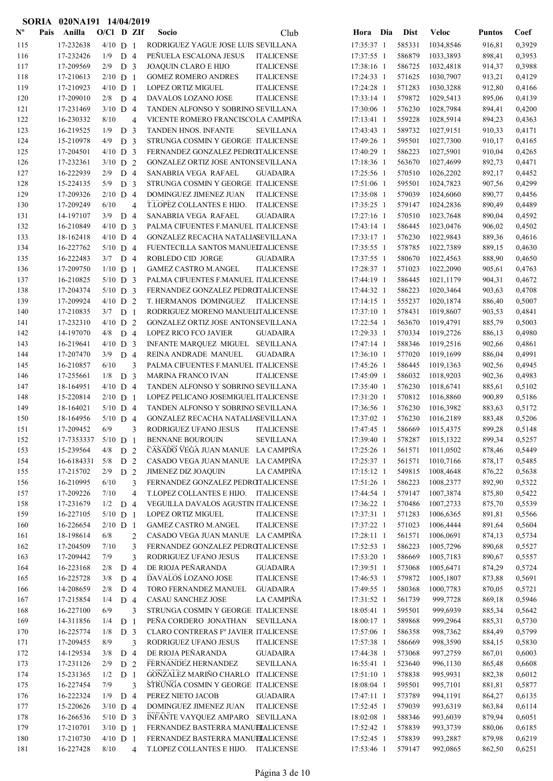|                           | SORIA | 020NA191 14/04/2019    |                          |                |                         |                                                                                       |                          |     |                  |                        |                  |                  |
|---------------------------|-------|------------------------|--------------------------|----------------|-------------------------|---------------------------------------------------------------------------------------|--------------------------|-----|------------------|------------------------|------------------|------------------|
| $\mathbf{N}^{\mathbf{o}}$ | Pais  | Anilla                 | $O/C1$ D ZIf             |                |                         | <b>Socio</b><br>Club                                                                  | Hora                     | Dia | <b>Dist</b>      | <b>Veloc</b>           | <b>Puntos</b>    | Coef             |
| 115                       |       | 17-232638              | $4/10$ D 1               |                |                         | RODRIGUEZ YAGUE JOSE LUIS SEVILLANA                                                   | 17:35:37 1               |     | 585331           | 1034,8546              | 916,81           | 0,3929           |
| 116                       |       | 17-232426              | 1/9                      | D <sub>4</sub> |                         | PEÑUELA ESCALONA JESUS<br><b>ITALICENSE</b>                                           | 17:37:55 1               |     | 586879           | 1033,3893              | 898,41           | 0,3953           |
| 117                       |       | 17-209569              | 2/9                      | D <sub>3</sub> |                         | JOAQUIN CLARO E HIJO<br><b>ITALICENSE</b>                                             | 17:38:16 1               |     | 586725           | 1032,4818              | 914,37           | 0,3988           |
| 118                       |       | 17-210613              | $2/10$ D 1               |                |                         | <b>GOMEZ ROMERO ANDRES</b><br><b>ITALICENSE</b>                                       | 17:24:33 1               |     | 571625           | 1030,7907              | 913,21           | 0,4129           |
| 119                       |       | 17-210923              | $4/10$ D 1               |                |                         | <b>LOPEZ ORTIZ MIGUEL</b><br><b>ITALICENSE</b>                                        | 17:24:28 1               |     | 571283           | 1030,3288              | 912,80           | 0,4166           |
| 120                       |       | 17-209010              | 2/8                      | D 4            |                         | DAVALOS LOZANO JOSE<br><b>ITALICENSE</b>                                              | 17:33:14 1               |     | 579872           | 1029,5413              | 895,06           | 0,4139           |
| 121                       |       | 17-231469              | $3/10$ D 4               |                |                         | TANDEN ALFONSO Y SOBRINO SEVILLANA                                                    | 17:30:06 1               |     | 576230           | 1028,7984              | 894,41           | 0,4200           |
| 122                       |       | 16-230332              | 8/10                     |                | 4                       | VICENTE ROMERO FRANCISCOLA CAMPIÑA                                                    | 17:13:41 1               |     | 559228           | 1028,5914              | 894,23           | 0,4363           |
| 123                       |       | 16-219525              | 1/9                      | D <sub>3</sub> |                         | TANDEN HNOS. INFANTE<br><b>SEVILLANA</b>                                              | 17:43:43 1               |     | 589732           | 1027,9151              | 910,33           | 0,4171           |
| 124                       |       | 15-210978              | 4/9                      | D <sub>3</sub> |                         | STRUNGA COSMIN Y GEORGE ITALICENSE                                                    | 17:49:26 1               |     | 595501           | 1027,7300              | 910,17           | 0,4165           |
| 125                       |       | 17-204501              | $4/10$ D 3               |                |                         | FERNANDEZ GONZALEZ PEDROTALICENSE                                                     | 17:40:29 1               |     | 586223           | 1027,5901              | 910,04           | 0,4265           |
| 126                       |       | 17-232361              | $3/10$ D 2               |                |                         | GONZALEZ ORTIZ JOSE ANTONSEVILLANA                                                    | 17:18:36 1               |     | 563670           | 1027,4699              | 892,73           | 0,4471           |
| 127                       |       | 16-222939              | 2/9                      | D <sub>4</sub> |                         | SANABRIA VEGA RAFAEL<br><b>GUADAIRA</b>                                               | 17:25:56 1               |     | 570510           | 1026,2202              | 892,17           | 0,4452           |
| 128                       |       | 15-224135              | 5/9                      | D <sub>3</sub> |                         | STRUNGA COSMIN Y GEORGE ITALICENSE                                                    | 17:51:06 1               |     | 595501           | 1024,7823              | 907,56           | 0,4299           |
| 129                       |       | 17-209326              | $2/10$ D 4               |                |                         | DOMINGUEZ JIMENEZ JUAN<br><b>ITALICENSE</b>                                           | 17:35:08 1               |     | 579039           | 1024,6060              | 890,77           | 0,4456           |
| 130                       |       | 17-209249              | 6/10                     |                | 4                       | T.LOPEZ COLLANTES E HIJO.<br><b>ITALICENSE</b>                                        | 17:35:25 1               |     | 579147           | 1024,2836              | 890,49           | 0,4489           |
| 131                       |       | 14-197107<br>16-210849 | 3/9                      | D <sub>4</sub> |                         | SANABRIA VEGA RAFAEL<br><b>GUADAIRA</b><br>PALMA CIFUENTES F.MANUEL ITALICENSE        | $17:27:16$ 1             |     | 570510           | 1023,7648              | 890,04           | 0,4592<br>0,4502 |
| 132                       |       |                        | $4/10$ D 3               |                |                         |                                                                                       | $17:43:14$ 1             |     | 586445<br>576230 | 1023,0476<br>1022,9843 | 906,02           |                  |
| 133<br>134                |       | 18-162418<br>16-227762 | $4/10$ D 4<br>$5/10$ D 4 |                |                         | GONZALEZ RECACHA NATALIASEVILLANA<br>FUENTECILLA SANTOS MANUELTALICENSE               | 17:33:17 1<br>17:35:55 1 |     | 578785           | 1022,7389              | 889,36<br>889,15 | 0,4616<br>0,4630 |
| 135                       |       | 16-222483              | 3/7                      | D <sub>4</sub> |                         | ROBLEDO CID JORGE<br><b>GUADAIRA</b>                                                  | 17:37:55 1               |     | 580670           | 1022,4563              | 888,90           | 0,4650           |
| 136                       |       | 17-209750              | $1/10$ D 1               |                |                         | <b>GAMEZ CASTRO M.ANGEL</b><br><b>ITALICENSE</b>                                      | 17:28:37 1               |     | 571023           | 1022,2090              | 905,61           | 0,4763           |
| 137                       |       | 16-210825              | $5/10$ D 3               |                |                         | PALMA CIFUENTES F.MANUEL ITALICENSE                                                   | 17:44:19 1               |     | 586445           | 1021,1179              | 904,31           | 0,4672           |
| 138                       |       | 17-204374              | $5/10$ D 3               |                |                         | FERNANDEZ GONZALEZ PEDROTALICENSE                                                     | 17:44:32 1               |     | 586223           | 1020,3464              | 903,63           | 0,4708           |
| 139                       |       | 17-209924              | $4/10$ D 2               |                |                         | T. HERMANOS DOMINGUEZ<br><b>ITALICENSE</b>                                            | $17:14:15$ 1             |     | 555237           | 1020,1874              | 886,40           | 0,5007           |
| 140                       |       | 17-210835              | $3/7$ D 1                |                |                         | RODRIGUEZ MORENO MANUELITALICENSE                                                     | 17:37:10 1               |     | 578431           | 1019,8607              | 903,53           | 0,4841           |
| 141                       |       | 17-232310              | $4/10$ D 2               |                |                         | GONZALEZ ORTIZ JOSE ANTONSEVILLANA                                                    | 17:22:54 1               |     | 563670           | 1019,4791              | 885,79           | 0,5003           |
| 142                       |       | 14-197070              | 4/8                      | D 4            |                         | <b>LOPEZ RICO FCO JAVIER</b><br><b>GUADAIRA</b>                                       | 17:29:33 1               |     | 570334           | 1019,2726              | 886,13           | 0,4980           |
| 143                       |       | 16-219641              | $4/10$ D 3               |                |                         | INFANTE MARQUEZ MIGUEL SEVILLANA                                                      | 17:47:14 1               |     | 588346           | 1019,2516              | 902,66           | 0,4861           |
| 144                       |       | 17-207470              | 3/9                      | D <sub>4</sub> |                         | REINA ANDRADE MANUEL<br><b>GUADAIRA</b>                                               | 17:36:10 1               |     | 577020           | 1019,1699              | 886,04           | 0,4991           |
| 145                       |       | 16-210857              | 6/10                     |                | 3                       | PALMA CIFUENTES F.MANUEL ITALICENSE                                                   | 17:45:26 1               |     | 586445           | 1019,1363              | 902,56           | 0,4945           |
| 146                       |       | 17-255661              | 1/8                      | D              | $\overline{\mathbf{3}}$ | <b>MARINA FRANCO IVAN</b><br><b>ITALICENSE</b>                                        | 17:45:09 1               |     | 586032           | 1018,9203              | 902,36           | 0,4983           |
| 147                       |       | 18-164951              | $4/10$ D 4               |                |                         | TANDEN ALFONSO Y SOBRINO SEVILLANA                                                    | 17:35:40 1               |     | 576230           | 1018,6741              | 885,61           | 0,5102           |
| 148                       |       | 15-220814              | $2/10$ D 1               |                |                         | LOPEZ PELICANO JOSEMIGUEL ITALICENSE                                                  | 17:31:20 1               |     | 570812           | 1016,8860              | 900,89           | 0,5186           |
| 149                       |       | 18-164021              | $5/10$ D 4               |                |                         | TANDEN ALFONSO Y SOBRINO SEVILLANA                                                    | 17:36:56 1               |     | 576230           | 1016,3982              | 883,63           | 0,5172           |
| 150                       |       | 18-164956              | $5/10$ D 4               |                |                         | GONZALEZ RECACHA NATALIASEVILLANA                                                     | 17:37:02 1               |     | 576230           | 1016,2189              | 883,48           | 0,5206           |
| 151                       |       | 17-209452              | 6/9                      |                | 3                       | RODRIGUEZ UFANO JESUS<br><b>ITALICENSE</b>                                            | 17:47:45 1               |     | 586669           | 1015,4375              | 899,28           | 0,5148           |
| 152                       |       | 17-7353337             | $5/10$ D 1               |                |                         | <b>BENNANE BOUROUIN</b><br><b>SEVILLANA</b>                                           | 17:39:40 1               |     | 578287           | 1015,1322              | 899,34           | 0,5257           |
| 153                       |       | 15-239564              | 4/8                      | D 2            |                         | CASADO VEGA JUAN MANUE LA CAMPIÑA                                                     | 17:25:26 1               |     | 561571           | 1011,0502              | 878,46           | 0,5449           |
| 154                       |       | 16-6184331             | 5/8                      | D 2            |                         | CASADO VEGA JUAN MANUE LA CAMPIÑA                                                     | 17:25:37 1               |     | 561571           | 1010,7166              | 878,17           | 0,5485           |
| 155                       |       | 17-215702              | 2/9                      | D <sub>2</sub> |                         | <b>JIMENEZ DIZ JOAQUIN</b><br>LA CAMPIÑA                                              | 17:15:12 1               |     | 549815           | 1008,4648              | 876,22           | 0,5638           |
| 156                       |       | 16-210995              | 6/10                     |                | 3                       | FERNANDEZ GONZALEZ PEDROTALICENSE                                                     | 17:51:26 1               |     | 586223           | 1008,2377              | 892,90           | 0,5322           |
| 157                       |       | 17-209226              | 7/10                     |                | $\overline{\mathbf{4}}$ | T.LOPEZ COLLANTES E HIJO. ITALICENSE                                                  | 17:44:54 1               |     | 579147           | 1007,3874              | 875,80           | 0,5422           |
| 158                       |       | 17-231679              | $1/2$ D 4                |                |                         | VEGUILLA DAVALOS AGUSTIN ITALICENSE                                                   | 17:36:22 1               |     | 570486           | 1007,2733              | 875,70           | 0,5539           |
| 159                       |       | 16-227105              | $5/10$ D 1               |                |                         | <b>LOPEZ ORTIZ MIGUEL</b><br><b>ITALICENSE</b>                                        | 17:37:31 1               |     | 571283           | 1006,6365              | 891,81           | 0,5566           |
| 160                       |       | 16-226654<br>18-198614 | $2/10$ D 1<br>6/8        |                |                         | <b>GAMEZ CASTRO M.ANGEL</b><br><b>ITALICENSE</b><br>CASADO VEGA JUAN MANUE LA CAMPIÑA | 17:37:22 1<br>17:28:11 1 |     | 571023           | 1006,4444<br>1006,0691 | 891,64           | 0,5604<br>0,5734 |
| 161<br>162                |       | 17-204509              | 7/10                     |                | 2<br>3                  | FERNANDEZ GONZALEZ PEDROTALICENSE                                                     | 17:52:53 1               |     | 561571<br>586223 | 1005,7296              | 874,13<br>890,68 | 0,5527           |
| 163                       |       | 17-209442              | 7/9                      |                | 3                       | RODRIGUEZ UFANO JESUS<br><b>ITALICENSE</b>                                            | 17:53:20 1               |     | 586669           | 1005,7183              | 890,67           | 0,5557           |
| 164                       |       | 16-223168              | 2/8                      | D <sub>4</sub> |                         | DE RIOJA PEÑARANDA<br><b>GUADAIRA</b>                                                 | 17:39:51 1               |     | 573068           | 1005,6471              | 874,29           | 0,5724           |
| 165                       |       | 16-225728              | 3/8                      | D 4            |                         | DAVALOS LOZANO JOSE<br><b>ITALICENSE</b>                                              | 17:46:53 1               |     | 579872           | 1005,1807              | 873,88           | 0,5691           |
| 166                       |       | 14-208659              | 2/8                      | D <sub>4</sub> |                         | TORO FERNANDEZ MANUEL<br><b>GUADAIRA</b>                                              | 17:49:55 1               |     | 580368           | 1000,7783              | 870,05           | 0,5721           |
| 167                       |       | 17-215854              | 1/4                      | D 4            |                         | CASAU SANCHEZ JOSE<br>LA CAMPIÑA                                                      | 17:31:52 1               |     | 561739           | 999,7728               | 869,18           | 0,5946           |
| 168                       |       | 16-227100              | 6/9                      |                | 3                       | STRUNGA COSMIN Y GEORGE ITALICENSE                                                    | 18:05:41 1               |     | 595501           | 999,6939               | 885,34           | 0,5642           |
| 169                       |       | 14-311856              | 1/4                      | D <sub>1</sub> |                         | PEÑA CORDERO JONATHAN<br><b>SEVILLANA</b>                                             | 18:00:17 1               |     | 589868           | 999,2964               | 885,31           | 0,5730           |
| 170                       |       | 16-225774              | 1/8                      | D <sub>3</sub> |                         | CLARO CONTRERAS Fº JAVIER ITALICENSE                                                  | 17:57:06 1               |     | 586358           | 998,7362               | 884,49           | 0,5799           |
| 171                       |       | 17-209455              | 8/9                      |                | 3                       | RODRIGUEZ UFANO JESUS<br><b>ITALICENSE</b>                                            | 17:57:38 1               |     | 586669           | 998,3590               | 884,15           | 0,5830           |
| 172                       |       | 14-129534              | 3/8                      | D 4            |                         | DE RIOJA PEÑARANDA<br><b>GUADAIRA</b>                                                 | 17:44:38 1               |     | 573068           | 997,2759               | 867,01           | 0,6003           |
| 173                       |       | 17-231126              | 2/9                      | D <sub>2</sub> |                         | FERNANDEZ HERNANDEZ<br><b>SEVILLANA</b>                                               | 16:55:41 1               |     | 523640           | 996,1130               | 865,48           | 0,6608           |
| 174                       |       | 15-231365              | 1/2                      | D <sub>1</sub> |                         | GONZALEZ MARIÑO CHARLO ITALICENSE                                                     | 17:51:10 1               |     | 578838           | 995,9931               | 882,38           | 0,6012           |
| 175                       |       | 16-227454              | 7/9                      |                | 3                       | STRUNGA COSMIN Y GEORGE ITALICENSE                                                    | 18:08:04 1               |     | 595501           | 995,7101               | 881,81           | 0,5877           |
| 176                       |       | 16-222324              | 1/9                      | D <sub>4</sub> |                         | PEREZ NIETO JACOB<br><b>GUADAIRA</b>                                                  | 17:47:11 1               |     | 573789           | 994,1191               | 864,27           | 0,6135           |
| 177                       |       | 15-220626              | $3/10$ D 4               |                |                         | DOMINGUEZ JIMENEZ JUAN<br><b>ITALICENSE</b>                                           | 17:52:45 1               |     | 579039           | 993,6319               | 863,84           | 0,6114           |
| 178                       |       | 16-266536              | $5/10$ D 3               |                |                         | INFANTE VAYQUEZ AMPARO SEVILLANA                                                      | 18:02:08 1               |     | 588346           | 993,6039               | 879,94           | 0,6051           |
| 179                       |       | 17-210701              | $3/10$ D 1               |                |                         | FERNANDEZ BASTERRA MANUELALICENSE                                                     | 17:52:42 1               |     | 578839           | 993,3739               | 880,06           | 0,6185           |
| 180                       |       | 17-210730              | $4/10$ D 1               |                |                         | FERNANDEZ BASTERRA MANUELALICENSE                                                     | 17:52:45 1               |     | 578839           | 993,2887               | 879,98           | 0,6219           |
| 181                       |       | 16-227428              | 8/10                     |                | $\overline{4}$          | T.LOPEZ COLLANTES E HIJO. ITALICENSE                                                  | 17:53:46 1               |     | 579147           | 992,0865               | 862,50           | 0,6251           |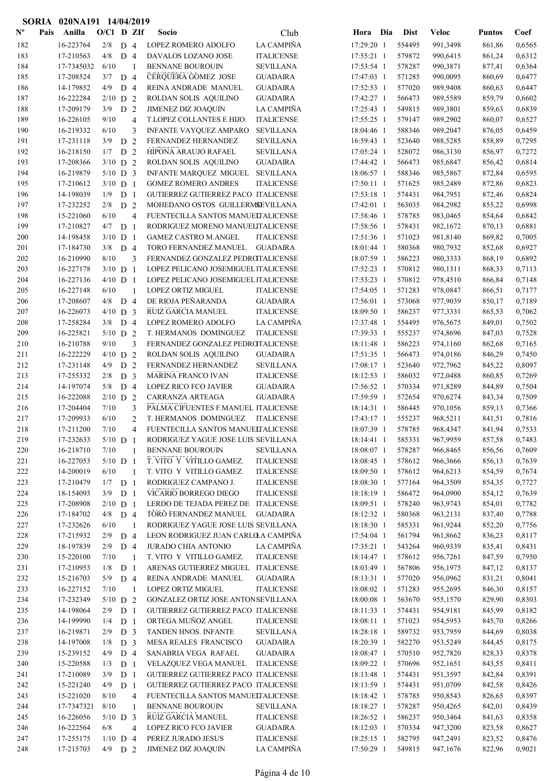|                | SORIA | 020NA191 14/04/2019 |                   |                                  |                |                                             |                   |                          |                  |              |                  |                  |
|----------------|-------|---------------------|-------------------|----------------------------------|----------------|---------------------------------------------|-------------------|--------------------------|------------------|--------------|------------------|------------------|
| $N^{\text{o}}$ | Pais  | Anilla              | O/Cl D ZIf        |                                  |                | Socio                                       | Club              | Hora Dia                 | <b>Dist</b>      | <b>Veloc</b> | <b>Puntos</b>    | Coef             |
| 182            |       | 16-223764           | 2/8               | D <sub>4</sub>                   |                | LOPEZ ROMERO ADOLFO                         | LA CAMPIÑA        | 17:29:20 1               | 554495           | 991,3498     | 861,86           | 0,6565           |
| 183            |       | 17-210563           | 4/8               | D <sub>4</sub>                   |                | DAVALOS LOZANO JOSE                         | <b>ITALICENSE</b> | 17:55:21 1               | 579872           | 990,6415     | 861,24           | 0,6312           |
| 184            |       | 17-7345032          | 6/10              |                                  | $\overline{1}$ | <b>BENNANE BOUROUIN</b>                     | <b>SEVILLANA</b>  | 17:53:54 1               | 578287           | 990,3871     | 877,41           | 0,6364           |
| 185            |       | 17-208524           | 3/7               | D <sub>4</sub>                   |                | CERQUERA GOMEZ JOSE                         | <b>GUADAIRA</b>   | 17:47:03 1               | 571285           | 990,0095     | 860,69           | 0,6477           |
| 186            |       | 14-179852           | 4/9               | D <sub>4</sub>                   |                | REINA ANDRADE MANUEL                        | <b>GUADAIRA</b>   | 17:52:53 1               | 577020           | 989,9408     | 860,63           | 0,6447           |
| 187            |       | 16-222284           | $2/10$ D 2        |                                  |                | ROLDAN SOLIS AQUILINO                       | <b>GUADAIRA</b>   | 17:42:27 1               | 566473           | 989,5589     | 859,79           | 0,6602           |
| 188            |       | 17-209179           | 3/9               | D 2                              |                | <b>JIMENEZ DIZ JOAQUIN</b>                  | LA CAMPIÑA        | 17:25:43 1               | 549815           | 989,3801     | 859,63           | 0,6839           |
| 189            |       | 16-226105           | 9/10              |                                  | $\overline{4}$ | T.LOPEZ COLLANTES E HIJO.                   | <b>ITALICENSE</b> | 17:55:25 1               | 579147           | 989,2902     | 860,07           | 0,6527           |
| 190            |       | 16-219332           | 6/10              |                                  | 3              | INFANTE VAYQUEZ AMPARO                      | <b>SEVILLANA</b>  | 18:04:46 1               | 588346           | 989,2047     | 876,05           | 0,6459           |
| 191            |       | 17-231118           | 3/9               | D 2                              |                | FERNANDEZ HERNANDEZ                         | <b>SEVILLANA</b>  | 16:59:43 1               | 523640           | 988,5285     | 858,89           | 0,7295           |
| 192            |       | 16-218150           | 1/7               | D <sub>2</sub>                   |                | HIPONA ARAUJO RAFAEL                        | <b>SEVILLANA</b>  | 17:05:24 1               | 528072           | 986,3130     | 856,97           | 0,7272           |
| 193            |       | 17-208366           | $3/10$ D 2        |                                  |                | ROLDAN SOLIS AQUILINO                       | <b>GUADAIRA</b>   | 17:44:42 1               | 566473           | 985,6847     | 856,42           | 0,6814           |
| 194            |       | 16-219879           | $5/10$ D 3        |                                  |                | INFANTE MARQUEZ MIGUEL                      | SEVILLANA         | 18:06:57 1               | 588346           | 985,5867     | 872,84           | 0,6595           |
| 195            |       | 17-210612           | $3/10$ D 1        |                                  |                | <b>GOMEZ ROMERO ANDRES</b>                  | <b>ITALICENSE</b> | 17:50:11 1               | 571625           | 985,2489     | 872,86           | 0,6823           |
| 196            |       | 14-198039           | 1/9               | D <sub>1</sub>                   |                | GUTIERREZ GUTIERREZ PACO ITALICENSE         |                   | 17:53:18 1               | 574431           | 984,7951     | 872,46           | 0,6824           |
| 197            |       | 17-232252           | 2/8               | D <sub>2</sub>                   |                | MOHEDANO OSTOS GUILLERMSEVILLANA            |                   | 17:42:01 1               | 563035           | 984,2982     | 855,22           | 0,6998           |
| 198            |       | 15-221060           | 6/10              |                                  | $\overline{4}$ | FUENTECILLA SANTOS MANUELTALICENSE          |                   | 17:58:46 1               | 578785           | 983,0465     | 854,64           | 0,6842           |
| 199            |       | 17-210827           | 4/7               | D <sub>1</sub>                   |                | RODRIGUEZ MORENO MANUELITALICENSE           |                   | 17:58:56 1               | 578431           | 982,1672     | 870,13           | 0,6881           |
| 200            |       | 14-198458           | $3/10$ D 1        |                                  |                | <b>GAMEZ CASTRO M.ANGEL</b>                 | <b>ITALICENSE</b> | 17:51:36 1               | 571023           | 981,8140     | 869,82           | 0,7005           |
| 201            |       | 17-184730           | 3/8               | D <sub>4</sub>                   |                | TORO FERNANDEZ MANUEL                       | <b>GUADAIRA</b>   | 18:01:44 1               | 580368           | 980,7932     | 852,68           | 0,6927           |
| 202            |       | 16-210990           | 8/10              |                                  | 3              | FERNANDEZ GONZALEZ PEDROTALICENSE           |                   | 18:07:59 1               | 586223           | 980,3333     | 868,19           | 0,6892           |
| 203            |       | 16-227178           | $3/10$ D 1        |                                  |                | LOPEZ PELICANO JOSEMIGUEL ITALICENSE        |                   | 17:52:23 1               | 570812           | 980,1311     | 868,33           | 0,7113           |
| 204            |       | 16-227136           | $4/10$ D 1        |                                  |                | LOPEZ PELICANO JOSEMIGUEL ITALICENSE        |                   | 17:53:23 1               | 570812           | 978,4510     | 866,84           | 0,7148           |
| 205            |       | 16-227148           | 6/10              |                                  | $\mathbf{1}$   | LOPEZ ORTIZ MIGUEL                          | <b>ITALICENSE</b> | 17:54:05 1               | 571283           | 978,0847     | 866,51           | 0,7177           |
| 206            |       | 17-208607           | 4/8               | D <sub>4</sub>                   |                | DE RIOJA PEÑARANDA                          | <b>GUADAIRA</b>   | 17:56:01 1               | 573068           | 977,9039     | 850,17           | 0,7189           |
| 207            |       | 16-226073           | $4/10$ D 3        |                                  |                | RUIZ GARCIA MANUEL                          | <b>ITALICENSE</b> | 18:09:50 1               | 586237           | 977,3331     | 865,53           | 0,7062           |
| 208            |       | 17-258284           | 3/8               | D <sub>4</sub>                   |                | LOPEZ ROMERO ADOLFO                         | LA CAMPIÑA        | 17:37:48 1               | 554495           | 976,5675     | 849,01           | 0,7502           |
| 209            |       | 16-225821           | $5/10$ D 2        |                                  |                | T. HERMANOS DOMINGUEZ                       | <b>ITALICENSE</b> | 17:39:33 1               | 555237           | 974,8696     | 847,03           | 0,7528           |
| 210            |       | 16-210788           | 9/10              |                                  | 3              | FERNANDEZ GONZALEZ PEDROTALICENSE           |                   | 18:11:48 1               | 586223           | 974,1160     | 862,68           | 0,7165           |
| 211            |       | 16-222229           | $4/10$ D 2        |                                  |                | ROLDAN SOLIS AQUILINO                       | <b>GUADAIRA</b>   | 17:51:35 1               | 566473           | 974,0186     | 846,29           | 0,7450           |
| 212            |       | 17-231148           | 4/9               | D <sub>2</sub>                   |                | FERNANDEZ HERNANDEZ                         | <b>SEVILLANA</b>  | 17:08:17 1               | 523640           | 972,7962     | 845,22           | 0,8097           |
| 213            |       | 17-255332           | 2/8               | D <sub>3</sub>                   |                | <b>MARINA FRANCO IVAN</b>                   | <b>ITALICENSE</b> | 18:12:53 1               | 586032           | 972,0488     | 860,85           | 0,7269           |
| 214            |       | 14-197074           | 5/8               | D 4                              |                | <b>LOPEZ RICO FCO JAVIER</b>                | <b>GUADAIRA</b>   | 17:56:52 1               | 570334           | 971,8289     | 844,89           | 0,7504           |
| 215            |       | 16-222088           | $2/10$ D 2        |                                  |                | CARRANZA ARTEAGA                            | <b>GUADAIRA</b>   | 17:59:59 1               | 572654           | 970,6274     | 843,34           | 0,7509           |
| 216            |       | 17-204404           | 7/10              |                                  | 3              | PALMA CIFUENTES F.MANUEL ITALICENSE         |                   | 18:14:31 1               | 586445           | 970,1056     | 859,13           | 0,7366           |
| 217            |       | 17-209933           | 6/10              |                                  | $\overline{2}$ | T. HERMANOS DOMINGUEZ                       | <b>ITALICENSE</b> | 17:43:17 1               | 555237           | 968,5211     | 841,51           | 0,7816           |
| 218            |       | 17-211200           | 7/10              |                                  | $\overline{4}$ | FUENTECILLA SANTOS MANUELTALICENSE          |                   | 18:07:39 1               | 578785           | 968,4347     | 841,94           | 0,7533           |
| 219            |       | 17-232633           | $5/10$ D 1        |                                  |                | RODRIGUEZ YAGUE JOSE LUIS SEVILLANA         |                   | 18:14:41 1               | 585331           | 967,9959     | 857,58           | 0,7483           |
| 220            |       | 16-218710           | 7/10              |                                  | $\overline{1}$ | <b>BENNANE BOUROUIN</b>                     | <b>SEVILLANA</b>  | 18:08:07 1               | 578287           | 966,8465     | 856,56           | 0,7609           |
| 221            |       | 16-227053           | $5/10$ D 1        |                                  |                | T. VITO Y VITILLO GAMEZ.                    | <b>ITALICENSE</b> | 18:08:45 1               | 578612           | 966,3666     | 856,13           | 0,7639           |
| 222            |       | 14-200019           | 6/10              |                                  | -1             | T. VITO Y VITILLO GAMEZ.                    | <b>ITALICENSE</b> | 18:09:50 1               | 578612           | 964,6213     | 854,59           | 0,7674           |
| 223            |       | 17-210479           | $1/7$ D 1         |                                  |                | RODRIGUEZ CAMPANO J.                        | <b>ITALICENSE</b> | 18:08:30 1               | 577164           | 964,3509     | 854,35           | 0,7727           |
| 224            |       | 18-154093           | 3/9               | D <sub>1</sub>                   |                | VICARIO BORREGO DIEGO                       | <b>ITALICENSE</b> | 18:18:19 1               | 586472           | 964,0900     | 854,12           | 0,7639           |
| 225            |       | 17-208908           | $2/10$ D 1        |                                  |                | LERDO DE TEJADA PEREZ DE ITALICENSE         |                   | 18:09:51 1               | 578240           | 963,9743     | 854,01           | 0,7782           |
| 226            |       | 17-184702           | 4/8               | D <sub>4</sub>                   |                | TORO FERNANDEZ MANUEL                       | <b>GUADAIRA</b>   | 18:12:32 1               | 580368           | 963,2131     | 837,40           | 0,7788           |
| 227            |       | 17-232626           | 6/10              |                                  | $\overline{1}$ | RODRIGUEZ YAGUE JOSE LUIS SEVILLANA         |                   | 18:18:30 1               | 585331           | 961,9244     | 852,20           | 0,7756           |
| 228            |       | 17-215932           | 2/9               | D <sub>4</sub>                   |                | LEON RODRIGUEZ JUAN CARLOLA CAMPIÑA         |                   | 17:54:04 1               | 561794           | 961,8662     | 836,23           | 0,8117           |
| 229            |       | 18-197839           | $2/9$ D 4         |                                  |                | <b>JURADO CHIA ANTONIO</b>                  | LA CAMPIÑA        | 17:35:21 1               | 543264           | 960,9339     | 835,41           | 0,8431           |
| 230            |       | 15-220100           | 7/10              |                                  | $\overline{1}$ | T. VITO Y VITILLO GAMEZ.                    | <b>ITALICENSE</b> | 18:14:47 1               | 578612           | 956,7261     | 847,59           | 0,7950           |
| 231            |       | 17-210953           | 1/8               | D <sub>1</sub>                   |                | ARENAS GUTIERREZ MIGUEL ITALICENSE          |                   | 18:03:49 1               | 567806           | 956,1975     | 847,12           | 0,8137           |
| 232            |       | 15-216703           | 5/9               | D <sub>4</sub>                   |                | REINA ANDRADE MANUEL                        | <b>GUADAIRA</b>   | 18:13:31 1               | 577020           | 956,0962     | 831,21           | 0,8041           |
| 233            |       | 16-227152           | 7/10              |                                  | $\mathbf{1}$   | LOPEZ ORTIZ MIGUEL                          | <b>ITALICENSE</b> | 18:08:02 1               | 571283           | 955,2695     | 846,30           | 0,8157           |
| 234            |       | 17-232349           | $5/10$ D 2        |                                  |                | GONZALEZ ORTIZ JOSE ANTONSEVILLANA          |                   | 18:00:08 1               | 563670           | 955,1570     | 829,90           | 0,8303           |
| 235            |       | 14-198064           | 2/9               | D <sub>1</sub>                   |                | GUTIERREZ GUTIERREZ PACO ITALICENSE         |                   | 18:11:33 1               | 574431           | 954,9181     | 845,99           | 0,8182           |
| 236            |       | 14-199990           | 1/4               | D <sub>1</sub>                   |                | ORTEGA MUÑOZ ANGEL                          | <b>ITALICENSE</b> | 18:08:11 1               | 571023           | 954,5953     | 845,70           | 0,8266           |
| 237            |       | 16-219871           | 2/9               | D <sub>3</sub>                   |                | TANDEN HNOS. INFANTE                        | <b>SEVILLANA</b>  | 18:28:18 1               | 589732           | 953,7959     | 844,69           | 0,8038           |
| 238            |       | 14-197008           | 1/8               | D <sub>3</sub>                   |                | MESA REALES FRANCISCO                       | <b>GUADAIRA</b>   | 18:20:39 1               | 582270           | 953,5249     | 844,45           | 0,8175           |
| 239            |       | 15-239152           | 4/9               | D 4                              |                | SANABRIA VEGA RAFAEL                        | <b>GUADAIRA</b>   | 18:08:47 1               | 570510           | 952,7820     | 828,33           | 0,8378           |
|                |       | 15-220588           |                   |                                  |                | VELAZQUEZ VEGA MANUEL                       | <b>ITALICENSE</b> |                          |                  | 952,1651     |                  |                  |
| 240<br>241     |       | 17-210089           | 1/3<br>3/9        | D <sub>1</sub><br>D <sub>1</sub> |                | GUTIERREZ GUTIERREZ PACO ITALICENSE         |                   | 18:09:22 1<br>18:13:48 1 | 570696<br>574431 | 951,3597     | 843,55<br>842,84 | 0,8411<br>0,8391 |
| 242            |       | 15-221240           | 4/9               | D <sub>1</sub>                   |                | GUTIERREZ GUTIERREZ PACO ITALICENSE         |                   | 18:13:59 1               | 574431           | 951,0709     |                  | 0,8426           |
| 243            |       |                     |                   |                                  |                |                                             |                   |                          | 578785           |              | 842,58           |                  |
|                |       | 15-221020           | 8/10              |                                  | $\overline{4}$ | FUENTECILLA SANTOS MANUELTALICENSE          |                   | 18:18:42 1               |                  | 950,8543     | 826,65           | 0,8397           |
| 244            |       | 17-7347321          | 8/10              |                                  | 1              | <b>BENNANE BOUROUIN</b>                     | <b>SEVILLANA</b>  | 18:18:27 1               | 578287           | 950,4265     | 842,01           | 0,8439           |
| 245            |       | 16-226056           | $5/10$ D 3<br>6/8 |                                  |                | RUIZ GARCIA MANUEL<br>LOPEZ RICO FCO JAVIER | <b>ITALICENSE</b> | 18:26:52 1               | 586237           | 950,3464     | 841,63           | 0,8358<br>0,8627 |
| 246            |       | 16-222564           |                   |                                  | $\overline{4}$ |                                             | <b>GUADAIRA</b>   | 18:12:03 1               | 570334           | 947,3200     | 823,58           |                  |
| 247            |       | 17-255175           | $1/10$ D 4        |                                  |                | PEREZ JURADO JESUS                          | <b>ITALICENSE</b> | 18:25:15 1               | 582795           | 947,2491     | 823,52           | 0,8476           |
| 248            |       | 17-215703           | $4/9$ D 2         |                                  |                | JIMENEZ DIZ JOAQUIN                         | LA CAMPIÑA        | 17:50:29 1               | 549815           | 947,1676     | 822,96           | 0,9021           |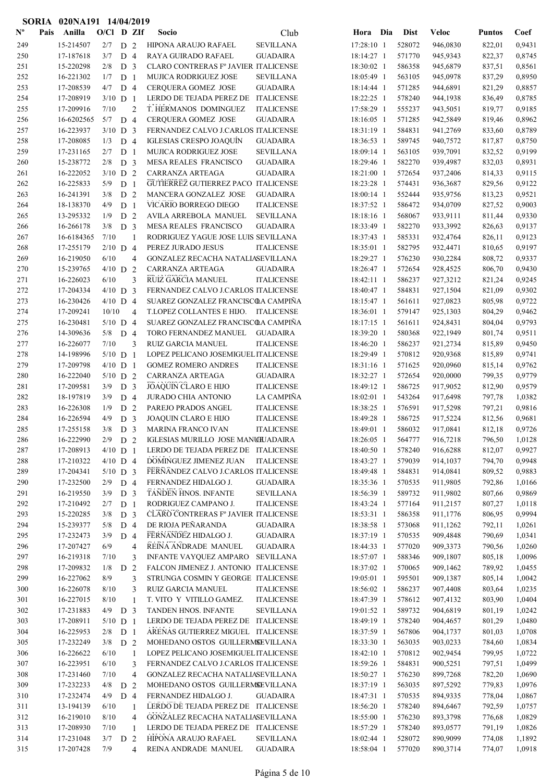|                | SORIA | 020NA191 14/04/2019    |                          |                                  |                |                                                                       |                   |                          |                  |                      |                  |                  |
|----------------|-------|------------------------|--------------------------|----------------------------------|----------------|-----------------------------------------------------------------------|-------------------|--------------------------|------------------|----------------------|------------------|------------------|
| $N^{\text{o}}$ | Pais  | Anilla                 | O/Cl D ZIf               |                                  |                | Socio                                                                 | Club              | Hora Dia                 | <b>Dist</b>      | <b>Veloc</b>         | <b>Puntos</b>    | Coef             |
| 249            |       | 15-214507              | $2/7$ D 2                |                                  |                | HIPONA ARAUJO RAFAEL                                                  | <b>SEVILLANA</b>  | 17:28:10 1               | 528072           | 946,0830             | 822,01           | 0,9431           |
| 250            |       | 17-187618              | 3/7                      | D <sub>4</sub>                   |                | RAYA GUIRADO RAFAEL                                                   | <b>GUADAIRA</b>   | 18:14:27 1               | 571770           | 945,9343             | 822,37           | 0,8745           |
| 251            |       | 15-220298              | 2/8                      | D <sub>3</sub>                   |                | CLARO CONTRERAS Fº JAVIER ITALICENSE                                  |                   | 18:30:02 1               | 586358           | 945,6879             | 837,51           | 0,8561           |
| 252            |       | 16-221302              | 1/7                      | D <sub>1</sub>                   |                | <b>MUJICA RODRIGUEZ JOSE</b>                                          | <b>SEVILLANA</b>  | 18:05:49 1               | 563105           | 945,0978             | 837,29           | 0,8950           |
| 253            |       | 17-208539              | 4/7                      | D <sub>4</sub>                   |                | <b>CERQUERA GOMEZ JOSE</b>                                            | <b>GUADAIRA</b>   | 18:14:44 1               | 571285           | 944,6891             | 821,29           | 0,8857           |
| 254            |       | 17-208919              | $3/10$ D 1               |                                  |                | LERDO DE TEJADA PEREZ DE                                              | <b>ITALICENSE</b> | 18:22:25 1               | 578240           | 944,1938             | 836,49           | 0,8785           |
| 255            |       | 17-209916              | 7/10                     |                                  | $\overline{2}$ | T. HERMANOS DOMINGUEZ                                                 | <b>ITALICENSE</b> | 17:58:29 1               | 555237           | 943,5051             | 819,77           | 0,9185           |
| 256            |       | 16-6202565             | 5/7                      | D <sub>4</sub>                   |                | <b>CERQUERA GOMEZ JOSE</b>                                            | <b>GUADAIRA</b>   | 18:16:05 1               | 571285           | 942,5849             | 819,46           | 0,8962           |
| 257            |       | 16-223937              | $3/10$ D 3               |                                  |                | FERNANDEZ CALVO J.CARLOS ITALICENSE                                   |                   | 18:31:19 1               | 584831           | 941,2769             | 833,60           | 0,8789           |
| 258            |       | 17-208085              | 1/3                      | D <sub>4</sub>                   |                | <b>IGLESIAS CRESPO JOAQUÍN</b>                                        | <b>GUADAIRA</b>   | 18:36:53 1               | 589745           | 940,7572             | 817,87           | 0,8750           |
| 259            |       | 17-231165              | 2/7                      | D <sub>1</sub>                   |                | MUJICA RODRIGUEZ JOSE                                                 | <b>SEVILLANA</b>  | 18:09:14 1               | 563105           | 939,7091             | 832,52           | 0,9199           |
| 260            |       | 15-238772              | 2/8                      | D <sub>3</sub>                   |                | MESA REALES FRANCISCO                                                 | <b>GUADAIRA</b>   | 18:29:46 1               | 582270           | 939,4987             | 832,03           | 0,8931           |
| 261            |       | 16-222052              | $3/10$ D 2               |                                  |                | CARRANZA ARTEAGA                                                      | <b>GUADAIRA</b>   | 18:21:00 1               | 572654           | 937,2406             | 814,33           | 0,9115           |
| 262            |       | 16-225833              | 5/9                      | D <sub>1</sub>                   |                | GUTIERREZ GUTIERREZ PACO ITALICENSE                                   |                   | 18:23:28 1               | 574431           | 936,3687             | 829,56           | 0,9122           |
| 263            |       | 16-241391              | 3/8                      | D <sub>2</sub>                   |                | MANCERA GONZALEZ JOSE                                                 | <b>GUADAIRA</b>   | 18:00:14 1               | 552444           | 935,9756             | 813,23           | 0,9521           |
| 264            |       | 18-138370              | 4/9                      | D <sub>1</sub>                   |                | VICARIO BORREGO DIEGO                                                 | <b>ITALICENSE</b> | 18:37:52 1               | 586472           | 934,0709             | 827,52           | 0,9003           |
| 265            |       | 13-295332              | 1/9                      | D <sub>2</sub>                   |                | AVILA ARREBOLA MANUEL                                                 | <b>SEVILLANA</b>  | 18:18:16 1               | 568067           | 933,9111             | 811,44           | 0,9330           |
| 266            |       | 16-266178              | 3/8                      | D <sub>3</sub>                   |                | MESA REALES FRANCISCO                                                 | <b>GUADAIRA</b>   | 18:33:49 1               | 582270           | 933,3992             | 826,63           | 0,9137           |
| 267            |       | 16-6184365             | 7/10                     |                                  | $\mathbf{1}$   | RODRIGUEZ YAGUE JOSE LUIS SEVILLANA                                   |                   | 18:37:43 1               | 585331           | 932,4764             | 826,11           | 0,9123           |
| 268            |       | 17-255179              | $2/10$ D 4               |                                  |                | PEREZ JURADO JESUS                                                    | <b>ITALICENSE</b> | 18:35:01 1               | 582795           | 932,4471             | 810,65           | 0,9197           |
| 269            |       | 16-219050              | 6/10                     |                                  | $\overline{4}$ | GONZALEZ RECACHA NATALIASEVILLANA                                     |                   | 18:29:27 1               | 576230           | 930,2284             | 808,72           | 0,9337           |
| 270            |       | 15-239765              | $4/10$ D 2               |                                  |                | CARRANZA ARTEAGA                                                      | <b>GUADAIRA</b>   | 18:26:47 1               | 572654           | 928,4525             | 806,70           | 0,9430           |
| 271            |       | 16-226023              | 6/10                     |                                  | 3              | RUIZ GARCIA MANUEL                                                    | <b>ITALICENSE</b> | 18:42:11 1               | 586237           | 927,3212             | 821,24           | 0,9245           |
| 272            |       | 17-204334              | $4/10$ D 3               |                                  |                | FERNANDEZ CALVO J.CARLOS ITALICENSE                                   |                   | 18:40:47 1               | 584831           | 927,1504             | 821,09           | 0,9302           |
| 273            |       | 16-230426              | $4/10$ D 4               |                                  |                | SUAREZ GONZALEZ FRANCISCOA CAMPINA                                    |                   | 18:15:47 1               | 561611           | 927,0823             | 805,98           | 0,9722           |
| 274            |       | 17-209241              | 10/10                    |                                  | $\overline{4}$ | T.LOPEZ COLLANTES E HIJO. ITALICENSE                                  |                   | 18:36:01 1               | 579147           | 925,1303             | 804,29           | 0,9462           |
| 275            |       | 16-230481              | $5/10$ D 4               |                                  |                | SUAREZ GONZALEZ FRANCISCOA CAMPIÑA                                    |                   | 18:17:15 1               | 561611           | 924,8431             | 804,04           | 0,9793           |
| 276            |       | 14-309636              | 5/8                      | D 4                              |                | TORO FERNANDEZ MANUEL                                                 | <b>GUADAIRA</b>   | 18:39:20 1               | 580368           | 922,1949             | 801,74           | 0,9511           |
| 277            |       | 16-226077              | 7/10                     |                                  | 3              | RUIZ GARCIA MANUEL                                                    | <b>ITALICENSE</b> | 18:46:20 1               | 586237           | 921,2734             | 815,89           | 0,9450           |
| 278            |       | 14-198996              | $5/10$ D 1               |                                  |                | LOPEZ PELICANO JOSEMIGUEL ITALICENSE                                  |                   | 18:29:49 1               | 570812           | 920,9368             | 815,89           | 0,9741           |
| 279            |       | 17-209798              | $4/10$ D 1               |                                  |                | <b>GOMEZ ROMERO ANDRES</b>                                            | <b>ITALICENSE</b> | 18:31:16 1               | 571625           | 920,0960             | 815,14           | 0,9762           |
| 280            |       | 16-222040              | $5/10$ D 2               |                                  |                | CARRANZA ARTEAGA                                                      | <b>GUADAIRA</b>   | 18:32:27 1               | 572654           | 920,0000             | 799,35           | 0,9779           |
| 281            |       | 17-209581              | 3/9                      | D <sub>3</sub>                   |                | <b>JOAQUIN CLARO E HIJO</b>                                           | <b>ITALICENSE</b> | 18:49:12 1               | 586725           | 917,9052             | 812,90           | 0,9579           |
| 282            |       | 18-197819              | 3/9                      | D 4                              |                | <b>JURADO CHIA ANTONIO</b>                                            | LA CAMPIÑA        | 18:02:01 1               | 543264           | 917,6498             | 797,78           | 1,0382           |
| 283            |       | 16-226308              | 1/9                      | D <sub>2</sub>                   |                | PAREJO PRADOS ANGEL                                                   | <b>ITALICENSE</b> | 18:38:25 1               | 576591           | 917,5298             | 797,21           | 0,9816           |
| 284            |       | 16-226594              | 4/9                      | D <sub>3</sub>                   |                | JOAQUIN CLARO E HIJO                                                  | <b>ITALICENSE</b> | 18:49:28 1               | 586725           | 917,5224             | 812,56           | 0,9681           |
| 285<br>286     |       | 17-255158<br>16-222990 | 3/8                      | D <sub>3</sub><br>D <sub>2</sub> |                | MARINA FRANCO IVAN<br>IGLESIAS MURILLO JOSE MANU <del>I</del> UADAIRA | <b>ITALICENSE</b> | 18:49:01 1               | 586032           | 917,0841<br>916,7218 | 812,18           | 0,9726<br>1,0128 |
| 287            |       | 17-208913              | 2/9                      |                                  |                | LERDO DE TEJADA PEREZ DE ITALICENSE                                   |                   | 18:26:05 1<br>18:40:50 1 | 564777<br>578240 | 916,6288             | 796,50           | 0,9927           |
| 288            |       | 17-210322              | $4/10$ D 1<br>$4/10$ D 4 |                                  |                | DOMINGUEZ JIMENEZ JUAN                                                | <b>ITALICENSE</b> | 18:43:27 1               | 579039           | 914,1037             | 812,07<br>794,70 | 0,9948           |
| 289            |       | 17-204341              | $5/10$ D 3               |                                  |                | FERNANDEZ CALVO J.CARLOS ITALICENSE                                   |                   | 18:49:48 1               | 584831           | 914,0841             | 809,52           | 0,9883           |
| 290            |       | 17-232500              | 2/9                      | D <sub>4</sub>                   |                | FERNANDEZ HIDALGO J.                                                  | <b>GUADAIRA</b>   | 18:35:36 1               | 570535           | 911,9805             | 792,86           | 1,0166           |
| 291            |       | 16-219550              | 3/9                      | D <sub>3</sub>                   |                | TANDEN HNOS. INFANTE                                                  | <b>SEVILLANA</b>  | 18:56:39 1               | 589732           | 911,9802             | 807,66           | 0,9869           |
| 292            |       | 17-210492              | 2/7                      | D <sub>1</sub>                   |                | RODRIGUEZ CAMPANO J.                                                  | <b>ITALICENSE</b> | 18:43:24 1               | 577164           | 911,2157             | 807,27           | 1,0118           |
| 293            |       | 15-220285              | 3/8                      | D <sub>3</sub>                   |                | CLARO CONTRERAS Fº JAVIER ITALICENSE                                  |                   | 18:53:31 1               | 586358           | 911,1776             | 806,95           | 0,9994           |
| 294            |       | 15-239377              | 5/8                      | D <sub>4</sub>                   |                | DE RIOJA PEÑARANDA                                                    | <b>GUADAIRA</b>   | 18:38:58 1               | 573068           | 911,1262             | 792,11           | 1,0261           |
| 295            |       | 17-232473              | 3/9                      | D 4                              |                | FERNANDEZ HIDALGO J.                                                  | <b>GUADAIRA</b>   | 18:37:19 1               | 570535           | 909,4848             | 790,69           | 1,0341           |
| 296            |       | 17-207427              | 6/9                      |                                  | 4              | REINA ANDRADE MANUEL                                                  | <b>GUADAIRA</b>   | 18:44:33 1               | 577020           | 909,3373             | 790,56           | 1,0260           |
| 297            |       | 16-219318              | 7/10                     |                                  | 3              | <b>INFANTE VAYQUEZ AMPARO</b>                                         | <b>SEVILLANA</b>  | 18:57:07 1               | 588346           | 909,1807             | 805,18           | 1,0096           |
| 298            |       | 17-209832              | 1/8                      | D <sub>2</sub>                   |                | FALCON JIMENEZ J. ANTONIO ITALICENSE                                  |                   | 18:37:02 1               | 570065           | 909,1462             | 789,92           | 1,0455           |
| 299            |       | 16-227062              | $8/9$                    |                                  | 3              | STRUNGA COSMIN Y GEORGE ITALICENSE                                    |                   | 19:05:01 1               | 595501           | 909,1387             | 805,14           | 1,0042           |
| 300            |       | 16-226078              | 8/10                     |                                  | 3              | RUIZ GARCIA MANUEL                                                    | <b>ITALICENSE</b> | 18:56:02 1               | 586237           | 907,4408             | 803,64           | 1,0235           |
| 301            |       | 16-227015              | 8/10                     |                                  | $\mathbf{1}$   | T. VITO Y VITILLO GAMEZ.                                              | <b>ITALICENSE</b> | 18:47:39 1               | 578612           | 907,4132             | 803,90           | 1,0404           |
| 302            |       | 17-231883              | 4/9                      | D <sub>3</sub>                   |                | TANDEN HNOS. INFANTE                                                  | <b>SEVILLANA</b>  | 19:01:52 1               | 589732           | 904,6819             | 801,19           | 1,0242           |
| 303            |       | 17-208911              | $5/10$ D 1               |                                  |                | LERDO DE TEJADA PEREZ DE ITALICENSE                                   |                   | 18:49:19 1               | 578240           | 904,4657             | 801,29           | 1,0480           |
| 304            |       | 16-225953              | 2/8                      | D <sub>1</sub>                   |                | ARENAS GUTIERREZ MIGUEL ITALICENSE                                    |                   | 18:37:59 1               | 567806           | 904,1737             | 801,03           | 1,0708           |
| 305            |       | 17-232249              | 3/8                      | D <sub>2</sub>                   |                | MOHEDANO OSTOS GUILLERMSEVILLANA                                      |                   | 18:33:30 1               | 563035           | 903,0233             | 784,60           | 1,0834           |
| 306            |       | 16-226622              | 6/10                     |                                  | 1              | LOPEZ PELICANO JOSEMIGUEL ITALICENSE                                  |                   | 18:42:10 1               | 570812           | 902,9454             | 799,95           | 1,0722           |
| 307            |       | 16-223951              | 6/10                     |                                  | 3              | FERNANDEZ CALVO J.CARLOS ITALICENSE                                   |                   | 18:59:26 1               | 584831           | 900,5251             | 797,51           | 1,0499           |
| 308            |       | 17-231460              | 7/10                     |                                  | 4              | GONZALEZ RECACHA NATALIASEVILLANA                                     |                   | 18:50:27 1               | 576230           | 899,7268             | 782,20           | 1,0690           |
| 309            |       | 17-232233              | $4/8$ D 2                |                                  |                | MOHEDANO OSTOS GUILLERMSEVILLANA                                      |                   | 18:37:19 1               | 563035           | 897,5292             | 779,83           | 1,0976           |
| 310            |       | 17-232474              | 4/9                      | D <sub>4</sub>                   |                | FERNANDEZ HIDALGO J.                                                  | <b>GUADAIRA</b>   | 18:47:31 1               | 570535           | 894,9335             | 778,04           | 1,0867           |
| 311            |       | 13-194139              | 6/10                     |                                  | 1              | LERDO DE TEJADA PEREZ DE ITALICENSE                                   |                   | 18:56:20 1               | 578240           | 894,6467             | 792,59           | 1,0757           |
| 312            |       | 16-219010              | 8/10                     |                                  | $\overline{4}$ | GONZALEZ RECACHA NATALIASEVILLANA                                     |                   | 18:55:00 1               | 576230           | 893,3798             | 776,68           | 1,0829           |
| 313            |       | 17-208930              | 7/10                     |                                  | 1              | LERDO DE TEJADA PEREZ DE ITALICENSE                                   |                   | 18:57:29 1               | 578240           | 893,0577             | 791,19           | 1,0826           |
| 314            |       | 17-231048              | $3/7$ D 2                |                                  |                | HIPONA ARAUJO RAFAEL                                                  | <b>SEVILLANA</b>  | 18:02:44 1               | 528072           | 890,9099             | 774,08           | 1,1892           |
| 315            |       | 17-207428              | 7/9                      |                                  | $\overline{4}$ | REINA ANDRADE MANUEL                                                  | <b>GUADAIRA</b>   | 18:58:04 1               | 577020           | 890,3714             | 774,07           | 1,0918           |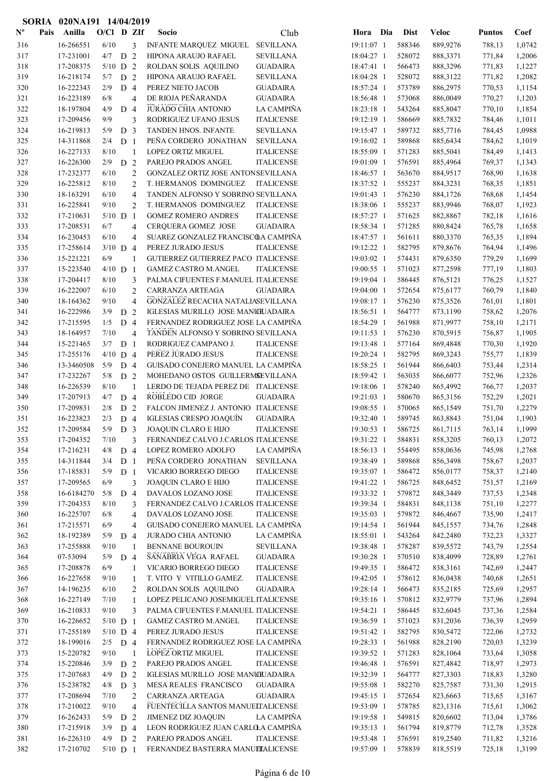|                | SORIA | 020NA191 14/04/2019    |             |                |                |                                                             |                   |                          |                  |                      |                  |                  |
|----------------|-------|------------------------|-------------|----------------|----------------|-------------------------------------------------------------|-------------------|--------------------------|------------------|----------------------|------------------|------------------|
| $N^{\text{o}}$ | Pais  | Anilla                 | O/Cl D ZIf  |                |                | Socio                                                       | Club              | Hora Dia                 | <b>Dist</b>      | <b>Veloc</b>         | <b>Puntos</b>    | Coef             |
| 316            |       | 16-266551              | 6/10        |                | 3              | INFANTE MARQUEZ MIGUEL                                      | <b>SEVILLANA</b>  | 19:11:07 1               | 588346           | 889,9276             | 788,13           | 1,0742           |
| 317            |       | 17-231001              | $4/7$ D 2   |                |                | HIPONA ARAUJO RAFAEL                                        | <b>SEVILLANA</b>  | 18:04:27 1               | 528072           | 888,3371             | 771,84           | 1,2006           |
| 318            |       | 17-208375              | $5/10$ D 2  |                |                | ROLDAN SOLIS AQUILINO                                       | <b>GUADAIRA</b>   | 18:47:41 1               | 566473           | 888,3296             | 771,83           | 1,1227           |
| 319            |       | 16-218174              | 5/7         | D 2            |                | HIPONA ARAUJO RAFAEL                                        | <b>SEVILLANA</b>  | 18:04:28 1               | 528072           | 888,3122             | 771,82           | 1,2082           |
| 320            |       | 16-222343              | 2/9         | D <sub>4</sub> |                | PEREZ NIETO JACOB                                           | <b>GUADAIRA</b>   | 18:57:24 1               | 573789           | 886,2975             | 770,53           | 1,1154           |
| 321            |       | 16-223189              | 6/8         |                | $\overline{4}$ | DE RIOJA PEÑARANDA                                          | <b>GUADAIRA</b>   | 18:56:48 1               | 573068           | 886,0049             | 770,27           | 1,1203           |
| 322            |       | 18-197804              | 4/9         | D <sub>4</sub> |                | <b>JURADO CHIA ANTONIO</b>                                  | LA CAMPIÑA        | 18:23:18 1               | 543264           | 885,8047             | 770,10           | 1,1854           |
| 323            |       | 17-209456              | 9/9         |                | 3              | RODRIGUEZ UFANO JESUS                                       | <b>ITALICENSE</b> | 19:12:19 1               | 586669           | 885,7832             | 784,46           | 1,1011           |
| 324            |       | 16-219813              | 5/9         | D              | 3              | TANDEN HNOS. INFANTE                                        | <b>SEVILLANA</b>  | 19:15:47 1               | 589732           | 885,7716             | 784,45           | 1,0988           |
| 325            |       | 14-311868              | 2/4         | D <sub>1</sub> |                | PEÑA CORDERO JONATHAN                                       | <b>SEVILLANA</b>  | 19:16:02 1               | 589868           | 885,6434             | 784,62           | 1,1019           |
| 326            |       | 16-227133              | 8/10        |                | $\mathbf{1}$   | <b>LOPEZ ORTIZ MIGUEL</b>                                   | <b>ITALICENSE</b> | 18:55:09 1               | 571283           | 885,5041             | 784,49           | 1,1413           |
| 327            |       | 16-226300              | 2/9         | D <sub>2</sub> |                | PAREJO PRADOS ANGEL                                         | <b>ITALICENSE</b> | 19:01:09 1               | 576591           | 885,4964             | 769,37           | 1,1343           |
| 328            |       | 17-232377              | 6/10        |                | 2              | GONZALEZ ORTIZ JOSE ANTONSEVILLANA                          |                   | 18:46:57 1               | 563670           | 884,9517             | 768,90           | 1,1638           |
| 329            |       | 16-225812              | 8/10        |                | $\overline{c}$ | T. HERMANOS DOMINGUEZ                                       | <b>ITALICENSE</b> | 18:37:52 1               | 555237           | 884,3231             | 768,35           | 1,1851           |
| 330            |       | 18-163291              | 6/10        |                | $\overline{4}$ | TANDEN ALFONSO Y SOBRINO SEVILLANA                          |                   | 19:01:43 1               | 576230           | 884,1726             | 768,68           | 1,1454           |
| 331            |       | 16-225841              | 9/10        |                | $\overline{2}$ | T. HERMANOS DOMINGUEZ                                       | <b>ITALICENSE</b> | 18:38:06 1               | 555237           | 883,9946             | 768,07           | 1,1923           |
| 332            |       | 17-210631              | $5/10$ D    |                | $\overline{1}$ | <b>GOMEZ ROMERO ANDRES</b>                                  | <b>ITALICENSE</b> | 18:57:27 1               | 571625           | 882,8867             | 782,18           | 1,1616           |
| 333            |       | 17-208531              | 6/7         |                | $\overline{4}$ | <b>CERQUERA GOMEZ JOSE</b>                                  | <b>GUADAIRA</b>   | 18:58:34 1               | 571285           | 880,8424             | 765,78           | 1,1658           |
| 334            |       | 16-230453              | 6/10        |                | $\overline{4}$ | SUAREZ GONZALEZ FRANCISCOA CAMPIÑA                          |                   | 18:47:57 1               | 561611           | 880,3370             | 765,35           | 1,1894           |
| 335            |       | 17-258614              | $3/10$ D 4  |                |                | PEREZ JURADO JESUS                                          | <b>ITALICENSE</b> | 19:12:22 1               | 582795           | 879,8676             | 764,94           | 1,1496           |
| 336            |       | 15-221221              | 6/9         |                | 1              | GUTIERREZ GUTIERREZ PACO ITALICENSE                         |                   | 19:03:02 1               | 574431           | 879,6350             | 779,29           | 1,1699           |
| 337            |       | 15-223540              | $4/10$ D 1  |                |                | <b>GAMEZ CASTRO M.ANGEL</b>                                 | <b>ITALICENSE</b> | 19:00:55 1               | 571023           | 877,2598             | 777,19           | 1,1803           |
| 338            |       | 17-204417              | 8/10        |                | 3              | PALMA CIFUENTES F.MANUEL ITALICENSE                         |                   | 19:19:04 1               | 586445           | 876,5121             | 776,25           | 1,1527           |
| 339            |       | 16-222007              | 6/10        |                | $\overline{c}$ | CARRANZA ARTEAGA                                            | <b>GUADAIRA</b>   | 19:04:00 1               | 572654           | 875,6177             | 760,79           | 1,1840           |
| 340            |       | 18-164362              | 9/10        |                | $\overline{4}$ | GONZALEZ RECACHA NATALIASEVILLANA                           |                   | 19:08:17 1               | 576230           | 875,3526             | 761,01           | 1,1801           |
| 341            |       | 16-222986              | 3/9         | D <sub>2</sub> |                | IGLESIAS MURILLO JOSE MANCHJADAIRA                          |                   | 18:56:51 1               | 564777           | 873,1190             | 758,62           | 1,2076           |
| 342            |       | 17-215595              | 1/5         | D <sub>4</sub> |                | FERNANDEZ RODRIGUEZ JOSE LA CAMPIÑA                         |                   | 18:54:29 1               | 561988           | 871,9977             | 758,10           | 1,2171           |
| 343            |       | 18-164957              | 7/10        |                | $\overline{4}$ | TANDEN ALFONSO Y SOBRINO SEVILLANA                          |                   | 19:11:53 1               | 576230           | 870,5915             | 756,87           | 1,1905           |
| 344            |       | 15-221465              | 3/7         | D <sub>1</sub> |                | RODRIGUEZ CAMPANO J.                                        | <b>ITALICENSE</b> | 19:13:48 1               | 577164           | 869,4848             | 770,30           | 1,1920           |
| 345            |       | 17-255176              | $4/10$ D 4  |                |                | PEREZ JURADO JESUS                                          | <b>ITALICENSE</b> | 19:20:24 1               | 582795           | 869,3243             | 755,77           | 1,1839           |
| 346            |       | 13-3460508             | 5/9         | D <sub>4</sub> |                | GUISADO CONEJERO MANUEL LA CAMPIÑA                          |                   | 18:58:25 1               | 561944           | 866,6403             | 753,44           | 1,2314           |
| 347            |       | 17-232267              | 5/8         | D <sub>2</sub> |                | MOHEDANO OSTOS GUILLERMSEVILLANA                            |                   | 18:59:42 1               | 563035           | 866,6077             | 752,96           | 1,2326           |
| 348            |       | 16-226539              | 8/10        |                | $\mathbf{1}$   | LERDO DE TEJADA PEREZ DE ITALICENSE                         | <b>GUADAIRA</b>   | 19:18:06 1               | 578240           | 865,4992             | 766,77           | 1,2037           |
| 349            |       | 17-207913              | 4/7         | D <sub>4</sub> |                | ROBLEDO CID JORGE<br>FALCON JIMENEZ J. ANTONIO ITALICENSE   |                   | 19:21:03 1               | 580670           | 865,3156             | 752,29           | 1,2021           |
| 350            |       | 17-209831              | 2/8         | D <sub>2</sub> |                |                                                             | <b>GUADAIRA</b>   | 19:08:55 1               | 570065           | 865,1549             | 751,70           | 1,2279           |
| 351            |       | 16-223823<br>17-209584 | 2/3<br>5/9  | D 4            |                | IGLESIAS CRESPO JOAQUÍN                                     |                   | 19:32:40 1               | 589745           | 863,8843             | 751,04           | 1,1903<br>1,1999 |
| 352            |       | 17-204352              |             | D <sub>3</sub> |                | JOAQUIN CLARO E HIJO<br>FERNANDEZ CALVO J.CARLOS ITALICENSE | <b>ITALICENSE</b> | 19:30:53 1<br>19:31:22 1 | 586725           | 861,7115             | 763,14           | 1,2072           |
| 353<br>354     |       | 17-216231              | 7/10<br>4/8 | D 4            | 3              | LOPEZ ROMERO ADOLFO                                         | LA CAMPIÑA        | 18:56:13 1               | 584831<br>554495 | 858,3205<br>858,0636 | 760,13<br>745,98 |                  |
| 355            |       | 14-311844              | 3/4         | D <sub>1</sub> |                | PEÑA CORDERO JONATHAN                                       | <b>SEVILLANA</b>  | 19:38:49 1               | 589868           | 856,3498             | 758,67           | 1,2768<br>1,2037 |
| 356            |       | 17-185831              | 5/9         | D <sub>1</sub> |                | VICARIO BORREGO DIEGO                                       | <b>ITALICENSE</b> | 19:35:07 1               | 586472           | 856,0177             | 758,37           | 1,2140           |
| 357            |       | 17-209565              | 6/9         |                | 3              | JOAQUIN CLARO E HIJO                                        | <b>ITALICENSE</b> | 19:41:22 1               | 586725           | 848,6452             | 751,57           | 1,2169           |
| 358            |       | 16-6184270             | 5/8         | D <sub>4</sub> |                | DAVALOS LOZANO JOSE                                         | <b>ITALICENSE</b> | 19:33:32 1               | 579872           | 848,3449             | 737,53           | 1,2348           |
| 359            |       | 17-204353              | 8/10        |                | 3              | FERNANDEZ CALVO J.CARLOS ITALICENSE                         |                   | 19:39:34 1               | 584831           | 848,1138             | 751,10           | 1,2277           |
| 360            |       | 16-225707              | 6/8         |                | 4              | DAVALOS LOZANO JOSE                                         | <b>ITALICENSE</b> | 19:35:03 1               | 579872           | 846,4667             | 735,90           | 1,2417           |
| 361            |       | 17-215571              | 6/9         |                | $\overline{4}$ | GUISADO CONEJERO MANUEL LA CAMPIÑA                          |                   | 19:14:54 1               | 561944           | 845,1557             | 734,76           | 1,2848           |
| 362            |       | 18-192389              | 5/9         | D <sub>4</sub> |                | <b>JURADO CHIA ANTONIO</b>                                  | LA CAMPIÑA        | 18:55:01 1               | 543264           | 842,2480             | 732,23           | 1,3327           |
| 363            |       | 17-255888              | 9/10        |                | $\overline{1}$ | <b>BENNANE BOUROUIN</b>                                     | <b>SEVILLANA</b>  | 19:38:48 1               | 578287           | 839,5572             | 743,79           | 1,2554           |
| 364            |       | 07-53094               | 5/9         | D <sub>4</sub> |                | SANABRIA VEGA RAFAEL                                        | <b>GUADAIRA</b>   | 19:30:28 1               | 570510           | 838,4099             | 728,89           | 1,2761           |
| 365            |       | 17-208878              | 6/9         |                | 1              | VICARIO BORREGO DIEGO                                       | <b>ITALICENSE</b> | 19:49:35 1               | 586472           | 838,3161             | 742,69           | 1,2447           |
| 366            |       | 16-227658              | 9/10        |                | 1              | T. VITO Y VITILLO GAMEZ.                                    | <b>ITALICENSE</b> | 19:42:05 1               | 578612           | 836,0438             | 740,68           | 1,2651           |
| 367            |       | 14-196235              | 6/10        |                | $\overline{2}$ | ROLDAN SOLIS AQUILINO                                       | <b>GUADAIRA</b>   | 19:28:14 1               | 566473           | 835,2185             | 725,69           | 1,2957           |
| 368            |       | 16-227149              | 7/10        |                | 1              | LOPEZ PELICANO JOSEMIGUEL ITALICENSE                        |                   | 19:35:16 1               | 570812           | 832,9779             | 737,96           | 1,2894           |
| 369            |       | 16-210833              | 9/10        |                | 3              | PALMA CIFUENTES F.MANUEL ITALICENSE                         |                   | 19:54:21 1               | 586445           | 832,6045             | 737,36           | 1,2584           |
| 370            |       | 16-226652              | $5/10$ D 1  |                |                | <b>GAMEZ CASTRO M.ANGEL</b>                                 | <b>ITALICENSE</b> | 19:36:59 1               | 571023           | 831,2036             | 736,39           | 1,2959           |
| 371            |       | 17-255189              | $5/10$ D 4  |                |                | PEREZ JURADO JESUS                                          | <b>ITALICENSE</b> | 19:51:42 1               | 582795           | 830,5472             | 722,06           | 1,2732           |
| 372            |       | 18-199016              | $2/5$ D 4   |                |                | FERNANDEZ RODRIGUEZ JOSE LA CAMPIÑA                         |                   | 19:28:33 1               | 561988           | 828,2190             | 720,03           | 1,3239           |
| 373            |       | 15-220782              | 9/10        |                | $\overline{1}$ | LOPEZ ORTIZ MIGUEL                                          | <b>ITALICENSE</b> | 19:39:52 1               | 571283           | 828,1064             | 733,64           | 1,3058           |
| 374            |       | 15-220846              | 3/9         | D 2            |                | PAREJO PRADOS ANGEL                                         | $\sf ITALICENSE$  | 19:46:48 1               | 576591           | 827,4842             | 718,97           | 1,2973           |
| 375            |       | 17-207683              | 4/9         | D 2            |                | IGLESIAS MURILLO JOSE MANUILJADAIRA                         |                   | 19:32:39 1               | 564777           | 827,3303             | 718,83           | 1,3280           |
| 376            |       | 15-238782              | $4/8$ D 3   |                |                | MESA REALES FRANCISCO                                       | <b>GUADAIRA</b>   | 19:55:08 1               | 582270           | 825,7587             | 731,30           | 1,2915           |
| 377            |       | 17-208694              | 7/10        |                | $\overline{2}$ | CARRANZA ARTEAGA                                            | <b>GUADAIRA</b>   | 19:45:15 1               | 572654           | 823,6663             | 715,65           | 1,3167           |
| 378            |       | 17-210022              | 9/10        |                | $\overline{4}$ | FUENTECILLA SANTOS MANUELTALICENSE                          |                   | 19:53:09 1               | 578785           | 823,1316             | 715,61           | 1,3062           |
| 379            |       | 16-262433              | 5/9         | D 2            |                | <b>JIMENEZ DIZ JOAQUIN</b>                                  | LA CAMPIÑA        | 19:19:58 1               | 549815           | 820,6602             | 713,04           | 1,3786           |
| 380            |       | 17-215918              | 3/9         | D <sub>4</sub> |                | LEON RODRIGUEZ JUAN CARLO A CAMPIÑA                         |                   | 19:35:13 1               | 561794           | 819,8779             | 712,78           | 1,3528           |
| 381            |       | 16-226310              | 4/9         | D 2            |                | PAREJO PRADOS ANGEL                                         | <b>ITALICENSE</b> | 19:53:48 1               | 576591           | 819,2540             | 711,82           | 1,3216           |
| 382            |       | 17-210702              | $5/10$ D 1  |                |                | FERNANDEZ BASTERRA MANUELALICENSE                           |                   | 19:57:09 1               | 578839           | 818,5519             | 725,18           | 1,3199           |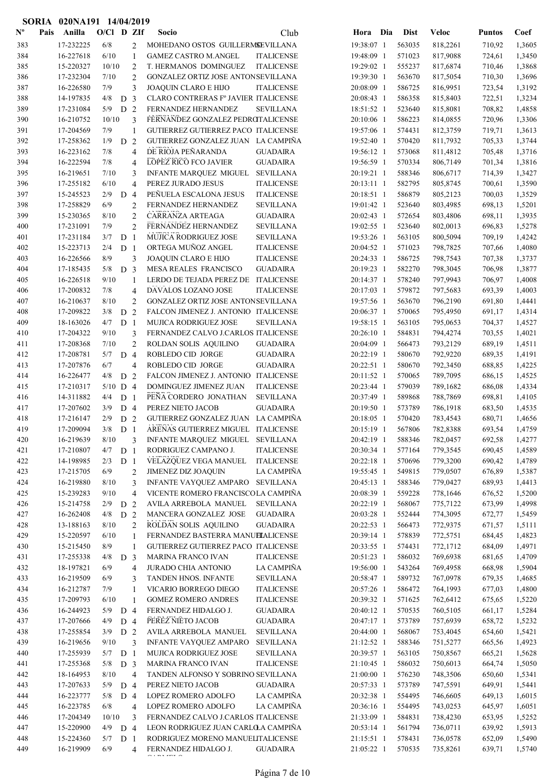|                | SORIA | 020NA191 14/04/2019    |                   |                |                     |                                                    |                                        |                          |                  |                      |                  |                  |
|----------------|-------|------------------------|-------------------|----------------|---------------------|----------------------------------------------------|----------------------------------------|--------------------------|------------------|----------------------|------------------|------------------|
| $N^{\text{o}}$ | Pais  | Anilla                 | $O/CI$ D ZIf      |                |                     | <b>Socio</b>                                       | Club                                   | Hora Dia                 | <b>Dist</b>      | <b>Veloc</b>         | <b>Puntos</b>    | Coef             |
| 383            |       | 17-232225              | 6/8               |                | $\overline{2}$      | MOHEDANO OSTOS GUILLERMSEVILLANA                   |                                        | 19:38:07 1               | 563035           | 818,2261             | 710,92           | 1,3605           |
| 384            |       | 16-227618              | 6/10              |                | $\mathbf{1}$        | <b>GAMEZ CASTRO M.ANGEL</b>                        | <b>ITALICENSE</b>                      | 19:48:09 1               | 571023           | 817,9088             | 724,61           | 1,3450           |
| 385            |       | 15-220327              | 10/10             |                | $\overline{c}$      | T. HERMANOS DOMINGUEZ                              | <b>ITALICENSE</b>                      | 19:29:02 1               | 555237           | 817,6874             | 710,46           | 1,3868           |
| 386            |       | 17-232304              | 7/10              |                | $\overline{2}$      | GONZALEZ ORTIZ JOSE ANTONSEVILLANA                 |                                        | 19:39:30 1               | 563670           | 817,5054             | 710,30           | 1,3696           |
| 387            |       | 16-226580              | 7/9               |                | 3                   | JOAQUIN CLARO E HIJO                               | <b>ITALICENSE</b>                      | 20:08:09 1               | 586725           | 816,9951             | 723,54           | 1,3192           |
| 388            |       | 14-197835              | 4/8               | D <sub>3</sub> |                     | CLARO CONTRERAS Fº JAVIER ITALICENSE               |                                        | 20:08:43 1               | 586358           | 815,8403             | 722,51           | 1,3234           |
| 389            |       | 17-231084              | 5/9               | D <sub>2</sub> |                     | FERNANDEZ HERNANDEZ                                | <b>SEVILLANA</b>                       | 18:51:52 1               | 523640           | 815,8081             | 708,82           | 1,4858           |
| 390            |       | 16-210752              | 10/10             |                | 3                   | FERNANDEZ GONZALEZ PEDROTALICENSE                  |                                        | 20:10:06 1               | 586223           | 814,0855             | 720,96           | 1,3306           |
| 391            |       | 17-204569              | 7/9               |                | 1                   | GUTIERREZ GUTIERREZ PACO ITALICENSE                |                                        | 19:57:06 1               | 574431           | 812,3759             | 719,71           | 1,3613           |
| 392            |       | 17-258362              | 1/9               | D <sub>2</sub> |                     | GUTIERREZ GONZALEZ JUAN LA CAMPIÑA                 |                                        | 19:52:40 1               | 570420           | 811,7932             | 705,33           | 1,3744           |
| 393<br>394     |       | 16-223162<br>16-222594 | 7/8<br>7/8        |                | $\overline{4}$      | DE RIOJA PEÑARANDA<br><b>LOPEZ RICO FCO JAVIER</b> | <b>GUADAIRA</b><br><b>GUADAIRA</b>     | 19:56:12 1<br>19:56:59 1 | 573068           | 811,4812<br>806,7149 | 705,48           | 1,3716<br>1,3816 |
| 395            |       | 16-219651              | 7/10              |                | $\overline{4}$<br>3 | INFANTE MARQUEZ MIGUEL                             | <b>SEVILLANA</b>                       | 20:19:21 1               | 570334<br>588346 | 806,6717             | 701,34<br>714,39 | 1,3427           |
| 396            |       | 17-255182              | 6/10              |                | $\overline{4}$      | PEREZ JURADO JESUS                                 | <b>ITALICENSE</b>                      | 20:13:11 1               | 582795           | 805,8745             | 700,61           | 1,3590           |
| 397            |       | 15-245523              | 2/9               | D              | $\overline{4}$      | PEÑUELA ESCALONA JESUS                             | <b>ITALICENSE</b>                      | 20:18:51 1               | 586879           | 805,2123             | 700,03           | 1,3529           |
| 398            |       | 17-258829              | 6/9               |                | $\overline{2}$      | FERNANDEZ HERNANDEZ                                | <b>SEVILLANA</b>                       | 19:01:42 1               | 523640           | 803,4985             | 698,13           | 1,5201           |
| 399            |       | 15-230365              | 8/10              |                | $\overline{c}$      | CARRANZA ARTEAGA                                   | <b>GUADAIRA</b>                        | 20:02:43 1               | 572654           | 803,4806             | 698,11           | 1,3935           |
| 400            |       | 17-231091              | 7/9               |                | $\overline{c}$      | FERNANDEZ HERNANDEZ                                | <b>SEVILLANA</b>                       | 19:02:55 1               | 523640           | 802,0013             | 696,83           | 1,5278           |
| 401            |       | 17-231184              | 3/7               | D              | -1                  | <b>MUJICA RODRIGUEZ JOSE</b>                       | <b>SEVILLANA</b>                       | 19:53:26 1               | 563105           | 800,5094             | 709,19           | 1,4242           |
| 402            |       | 15-223713              | 2/4               | D <sub>1</sub> |                     | ORTEGA MUÑOZ ANGEL                                 | <b>ITALICENSE</b>                      | 20:04:52 1               | 571023           | 798,7825             | 707,66           | 1,4080           |
| 403            |       | 16-226566              | 8/9               |                | 3                   | JOAQUIN CLARO E HIJO                               | <b>ITALICENSE</b>                      | 20:24:33 1               | 586725           | 798,7543             | 707,38           | 1,3737           |
| 404            |       | 17-185435              | 5/8               | D <sub>3</sub> |                     | MESA REALES FRANCISCO                              | <b>GUADAIRA</b>                        | 20:19:23 1               | 582270           | 798,3045             | 706,98           | 1,3877           |
| 405            |       | 16-226518              | 9/10              |                | 1                   | LERDO DE TEJADA PEREZ DE ITALICENSE                |                                        | 20:14:37 1               | 578240           | 797,9943             | 706,97           | 1,4008           |
| 406            |       | 17-200832              | 7/8               |                | $\overline{4}$      | DAVALOS LOZANO JOSE                                | <b>ITALICENSE</b>                      | 20:17:03 1               | 579872           | 797,5683             | 693,39           | 1,4003           |
| 407            |       | 16-210637              | 8/10              |                | $\overline{2}$      | GONZALEZ ORTIZ JOSE ANTONSEVILLANA                 |                                        | 19:57:56 1               | 563670           | 796,2190             | 691,80           | 1,4441           |
| 408            |       | 17-209822              | 3/8               | D <sub>2</sub> |                     | FALCON JIMENEZ J. ANTONIO ITALICENSE               |                                        | 20:06:37 1               | 570065           | 795,4950             | 691,17           | 1,4314           |
| 409            |       | 18-163026              | 4/7               | D              | -1                  | MUJICA RODRIGUEZ JOSE                              | <b>SEVILLANA</b>                       | 19:58:15 1               | 563105           | 795,0653             | 704,37           | 1,4527           |
| 410            |       | 17-204322              | 9/10              |                | 3                   | FERNANDEZ CALVO J.CARLOS ITALICENSE                |                                        | 20:26:10 1               | 584831           | 794,4274             | 703,55           | 1,4021           |
| 411            |       | 17-208368              | 7/10              |                | $\overline{2}$      | ROLDAN SOLIS AQUILINO                              | <b>GUADAIRA</b>                        | 20:04:09 1               | 566473           | 793,2129             | 689,19           | 1,4511           |
| 412            |       | 17-208781              | 5/7               | D              | $\overline{4}$      | ROBLEDO CID JORGE                                  | <b>GUADAIRA</b>                        | 20:22:19 1               | 580670           | 792,9220             | 689,35           | 1,4191           |
| 413            |       | 17-207876              | 6/7               |                | $\overline{4}$      | ROBLEDO CID JORGE                                  | <b>GUADAIRA</b>                        | 20:22:51 1               | 580670           | 792,3450             | 688,85           | 1,4225           |
| 414            |       | 16-226477              | 4/8               | D              | 2                   | FALCON JIMENEZ J. ANTONIO ITALICENSE               |                                        | 20:11:52 1               | 570065           | 789,7095             | 686,15           | 1,4525           |
| 415<br>416     |       | 17-210317<br>14-311882 | $5/10$ D 4<br>4/4 | D <sub>1</sub> |                     | DOMINGUEZ JIMENEZ JUAN<br>PEÑA CORDERO JONATHAN    | <b>ITALICENSE</b><br><b>SEVILLANA</b>  | 20:23:44 1<br>20:37:49 1 | 579039<br>589868 | 789,1682<br>788,7869 | 686,08<br>698,81 | 1,4334<br>1,4105 |
| 417            |       | 17-207602              | 3/9               | D 4            |                     | PEREZ NIETO JACOB                                  | <b>GUADAIRA</b>                        | 20:19:50 1               | 573789           | 786,1918             | 683,50           | 1,4535           |
| 418            |       | 17-216147              | 2/9               | D <sub>2</sub> |                     | GUTIERREZ GONZALEZ JUAN LA CAMPIÑA                 |                                        | 20:18:05 1               | 570420           | 783,4543             | 680,71           | 1,4656           |
| 419            |       | 17-209094              | 3/8               | D              |                     | ARENAS GUTIERREZ MIGUEL ITALICENSE                 |                                        | 20:15:19 1               | 567806           | 782,8388             | 693,54           | 1,4759           |
| 420            |       | 16-219639              | 8/10              |                | 3                   | INFANTE MARQUEZ MIGUEL SEVILLANA                   |                                        | 20:42:19 1               | 588346           | 782,0457             | 692,58           | 1,4277           |
| 421            |       | 17-210807              | 4/7               | D <sub>1</sub> |                     | RODRIGUEZ CAMPANO J.                               | <b>ITALICENSE</b>                      | 20:30:34 1               | 577164           | 779,3545             | 690,45           | 1,4589           |
| 422            |       | 14-198985              | 2/3               | D <sub>1</sub> |                     | VELAZQUEZ VEGA MANUEL                              | <b>ITALICENSE</b>                      | 20:22:18 1               | 570696           | 779,3200             | 690,42           | 1,4789           |
| 423            |       | 17-215705              | 6/9               |                | $\mathbf{2}$        | <b>JIMENEZ DIZ JOAQUIN</b>                         | LA CAMPIÑA                             | 19:55:45 1               | 549815           | 779,0507             | 676,89           | 1,5387           |
| 424            |       | 16-219880              | 8/10              |                | 3                   | <b>INFANTE VAYQUEZ AMPARO</b>                      | <b>SEVILLANA</b>                       | 20:45:13 1               | 588346           | 779,0427             | 689,93           | 1,4413           |
| 425            |       | 15-239283              | 9/10              |                | $\overline{4}$      | VICENTE ROMERO FRANCISCOLA CAMPIÑA                 |                                        | 20:08:39 1               | 559228           | 778,1646             | 676,52           | 1,5200           |
| 426            |       | 15-214758              | 2/9               | D              | $\overline{2}$      | AVILA ARREBOLA MANUEL                              | <b>SEVILLANA</b>                       | 20:22:19 1               | 568067           | 775,7122             | 673,99           | 1,4998           |
| 427            |       | 16-262408              | 4/8               | D 2            |                     | MANCERA GONZALEZ JOSE                              | <b>GUADAIRA</b>                        | 20:03:28 1               | 552444           | 774,3095             | 672,77           | 1,5459           |
| 428            |       | 13-188163              | 8/10              |                | $\overline{2}$      | ROLDAN SOLIS AQUILINO                              | <b>GUADAIRA</b>                        | 20:22:53 1               | 566473           | 772,9375             | 671,57           | 1,5111           |
| 429            |       | 15-220597              | 6/10              |                | 1                   | FERNANDEZ BASTERRA MANUELALICENSE                  |                                        | 20:39:14 1               | 578839           | 772,5751             | 684,45           | 1,4823           |
| 430            |       | 15-215450              | 8/9               |                | 1                   | GUTIERREZ GUTIERREZ PACO ITALICENSE                |                                        | 20:33:55 1               | 574431           | 772,1712             | 684,09           | 1,4971           |
| 431            |       | 17-255338              | 4/8               | D <sub>3</sub> |                     | <b>MARINA FRANCO IVAN</b>                          | <b>ITALICENSE</b>                      | 20:51:23 1               | 586032           | 769,6938             | 681,65           | 1,4709           |
| 432            |       | 18-197821              | 6/9               |                | $\overline{4}$      | JURADO CHIA ANTONIO                                | LA CAMPIÑA                             | 19:56:00 1               | 543264           | 769,4958             | 668,98           | 1,5904           |
| 433            |       | 16-219509<br>16-212787 | 6/9               |                | 3                   | TANDEN HNOS. INFANTE<br>VICARIO BORREGO DIEGO      | <b>SEVILLANA</b>                       | 20:58:47 1               | 589732           | 767,0978             | 679,35           | 1,4685           |
| 434<br>435     |       | 17-209793              | 7/9<br>6/10       |                | 1<br>1              | <b>GOMEZ ROMERO ANDRES</b>                         | <b>ITALICENSE</b><br><b>ITALICENSE</b> | 20:57:26 1<br>20:39:32 1 | 586472<br>571625 | 764,1993<br>762,6412 | 677,03<br>675,65 | 1,4800<br>1,5220 |
| 436            |       | 16-244923              | 5/9               | D <sub>4</sub> |                     | FERNANDEZ HIDALGO J.                               | <b>GUADAIRA</b>                        | 20:40:12 1               | 570535           | 760,5105             | 661,17           | 1,5284           |
| 437            |       | 17-207666              | 4/9               | D 4            |                     | PEREZ NIETO JACOB                                  | <b>GUADAIRA</b>                        | 20:47:17 1               | 573789           | 757,6939             | 658,72           | 1,5232           |
| 438            |       | 17-255854              | 3/9               | D <sub>2</sub> |                     | AVILA ARREBOLA MANUEL                              | <b>SEVILLANA</b>                       | 20:44:00 1               | 568067           | 753,4045             | 654,60           | 1,5421           |
| 439            |       | 16-219656              | 9/10              |                | 3                   | INFANTE VAYQUEZ AMPARO                             | <b>SEVILLANA</b>                       | 21:12:52 1               | 588346           | 751,5277             | 665,56           | 1,4923           |
| 440            |       | 17-255939              | 5/7               | D <sub>1</sub> |                     | MUJICA RODRIGUEZ JOSE                              | <b>SEVILLANA</b>                       | 20:39:57 1               | 563105           | 750,8567             | 665,21           | 1,5628           |
| 441            |       | 17-255368              | 5/8               | D <sub>3</sub> |                     | MARINA FRANCO IVAN                                 | <b>ITALICENSE</b>                      | 21:10:45 1               | 586032           | 750,6013             | 664,74           | 1,5050           |
| 442            |       | 18-164953              | 8/10              |                | $\overline{4}$      | TANDEN ALFONSO Y SOBRINO SEVILLANA                 |                                        | 21:00:00 1               | 576230           | 748,3506             | 650,60           | 1,5341           |
| 443            |       | 17-207633              | 5/9               | D <sub>4</sub> |                     | PEREZ NIETO JACOB                                  | <b>GUADAIRA</b>                        | 20:57:33 1               | 573789           | 747,5591             | 649,91           | 1,5441           |
| 444            |       | 16-223777              | 5/8               | D <sub>4</sub> |                     | LOPEZ ROMERO ADOLFO                                | LA CAMPIÑA                             | 20:32:38 1               | 554495           | 746,6605             | 649,13           | 1,6015           |
| 445            |       | 16-223785              | 6/8               |                | $\overline{4}$      | LOPEZ ROMERO ADOLFO                                | LA CAMPIÑA                             | 20:36:16 1               | 554495           | 743,0253             | 645,97           | 1,6051           |
| 446            |       | 17-204349              | 10/10             |                | 3                   | FERNANDEZ CALVO J.CARLOS ITALICENSE                |                                        | 21:33:09 1               | 584831           | 738,4230             | 653,95           | 1,5252           |
| 447            |       | 15-220900              | 4/9               | D <sub>4</sub> |                     | LEON RODRIGUEZ JUAN CARLOLA CAMPIÑA                |                                        | 20:53:14 1               | 561794           | 736,0711             | 639,92           | 1,5913           |
| 448            |       | 15-224360              | 5/7               | D <sub>1</sub> |                     | RODRIGUEZ MORENO MANUELITALICENSE                  |                                        | 21:15:51 1               | 578431           | 736,0578             | 652,09           | 1,5490           |
| 449            |       | 16-219909              | 6/9               |                | $\overline{4}$      | FERNANDEZ HIDALGO J.<br>. . <del>.</del> .         | <b>GUADAIRA</b>                        | 21:05:22 1               | 570535           | 735,8261             | 639,71           | 1,5740           |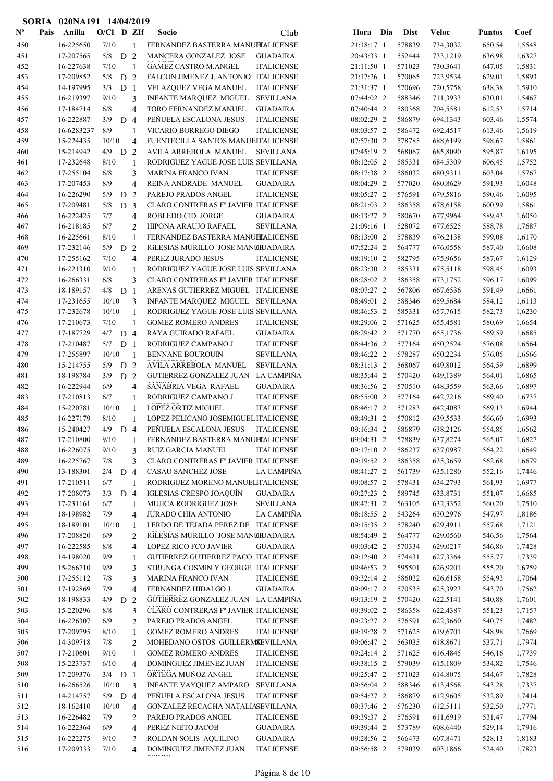|                | SORIA | 020NA191 14/04/2019    |               |                |                |                                                                   |                   |                          |                  |                      |                  |                  |
|----------------|-------|------------------------|---------------|----------------|----------------|-------------------------------------------------------------------|-------------------|--------------------------|------------------|----------------------|------------------|------------------|
| $N^{\text{o}}$ | Pais  | Anilla                 | $O/CI$ D ZIf  |                |                | Socio                                                             | Club              | Hora Dia                 | <b>Dist</b>      | <b>Veloc</b>         | <b>Puntos</b>    | Coef             |
| 450            |       | 16-225650              | 7/10          |                | $\mathbf{1}$   | FERNANDEZ BASTERRA MANUELALICENSE                                 |                   | 21:18:17 1               | 578839           | 734,3032             | 650,54           | 1,5548           |
| 451            |       | 17-207565              | $5/8$ D 2     |                |                | MANCERA GONZALEZ JOSE                                             | <b>GUADAIRA</b>   | 20:43:33 1               | 552444           | 733,1219             | 636,98           | 1,6327           |
| 452            |       | 16-227638              | 7/10          |                | $\overline{1}$ | <b>GAMEZ CASTRO M.ANGEL</b>                                       | <b>ITALICENSE</b> | 21:11:50 1               | 571023           | 730,3641             | 647,05           | 1,5831           |
| 453            |       | 17-209852              | 5/8           | D              | 2              | FALCON JIMENEZ J. ANTONIO ITALICENSE                              |                   | 21:17:26 1               | 570065           | 723,9534             | 629,01           | 1,5893           |
| 454            |       | 14-197995              | 3/3           | D <sub>1</sub> |                | VELAZQUEZ VEGA MANUEL                                             | <b>ITALICENSE</b> | 21:31:37 1               | 570696           | 720,5758             | 638,38           | 1,5910           |
| 455            |       | 16-219397              | 9/10          |                | 3              | <b>INFANTE MARQUEZ MIGUEL</b>                                     | <b>SEVILLANA</b>  | 07:44:02 2               | 588346           | 711,3933             | 630,01           | 1,5467           |
| 456            |       | 17-184714              | 6/8           |                | 4              | TORO FERNANDEZ MANUEL                                             | <b>GUADAIRA</b>   | 07:40:44 2               | 580368           | 704,5581             | 612,53           | 1,5714           |
| 457            |       | 16-222887              | 3/9           | D <sub>4</sub> |                | PEÑUELA ESCALONA JESUS                                            | <b>ITALICENSE</b> | 08:02:29 2               | 586879           | 694,1343             | 603,46           | 1,5574           |
| 458            |       | 16-6283237             | 8/9           |                | 1              | VICARIO BORREGO DIEGO                                             | <b>ITALICENSE</b> | 08:03:57 2               | 586472           | 692,4517             | 613,46           | 1,5619           |
| 459            |       | 15-224435              | 10/10         |                | $\overline{4}$ | FUENTECILLA SANTOS MANUELTALICENSE                                |                   | 07:57:30 2               | 578785           | 688,6199             | 598,67           | 1,5861           |
| 460            |       | 15-214942              | 4/9           | D <sub>2</sub> |                | AVILA ARREBOLA MANUEL                                             | <b>SEVILLANA</b>  | 07:45:19 2               | 568067           | 685,8090             | 595,87           | 1,6195           |
| 461            |       | 17-232648              | 8/10          |                | $\mathbf{1}$   | RODRIGUEZ YAGUE JOSE LUIS SEVILLANA                               |                   | 08:12:05 2               | 585331           | 684,5309             | 606,45           | 1,5752           |
| 462            |       | 17-255104              | 6/8           |                | 3              | <b>MARINA FRANCO IVAN</b>                                         | <b>ITALICENSE</b> | 08:17:38 2               | 586032           | 680,9311             | 603,04           | 1,5767           |
| 463            |       | 17-207453              | 8/9           |                | $\overline{4}$ | REINA ANDRADE MANUEL                                              | <b>GUADAIRA</b>   | 08:04:29 2               | 577020           | 680,8629             | 591,93           | 1,6048           |
| 464            |       | 16-226290              | 5/9           | D              | 2              | PAREJO PRADOS ANGEL                                               | <b>ITALICENSE</b> | 08:05:27 2               | 576591           | 679,5816             | 590,46           | 1,6095           |
| 465            |       | 17-209481              | 5/8           | D <sub>3</sub> |                | CLARO CONTRERAS Fº JAVIER ITALICENSE                              |                   | 08:21:03 2               | 586358           | 678,6158             | 600,99           | 1,5861           |
| 466            |       | 16-222425              | 7/7           |                | $\overline{4}$ | ROBLEDO CID JORGE                                                 | <b>GUADAIRA</b>   | 08:13:27 2               | 580670           | 677,9964             | 589,43           | 1,6050           |
| 467            |       | 16-218185              | 6/7           |                | $\overline{2}$ | HIPONA ARAUJO RAFAEL                                              | <b>SEVILLANA</b>  | 21:09:16 1               | 528072           | 677,6525             | 588,78           | 1,7687           |
| 468            |       | 16-225661              | 8/10          |                | $\mathbf{1}$   | FERNANDEZ BASTERRA MANUELALICENSE                                 |                   | 08:13:00 2               | 578839           | 676,2138             | 599,08           | 1,6170           |
| 469            |       | 17-232146              | 5/9           | D              | 2              | IGLESIAS MURILLO JOSE MANCHJADAIRA                                |                   | 07:52:24 2               | 564777           | 676,0558             | 587,40           | 1,6608           |
| 470            |       | 17-255162              | 7/10          |                | $\overline{4}$ | PEREZ JURADO JESUS                                                | <b>ITALICENSE</b> | 08:19:10 2               | 582795           | 675,9656             | 587,67           | 1,6129           |
| 471            |       | 16-221310              | 9/10          |                | $\mathbf{1}$   | RODRIGUEZ YAGUE JOSE LUIS SEVILLANA                               |                   | 08:23:30 2               | 585331           | 675,5118             | 598,45           | 1,6093           |
| 472            |       | 16-266331              | 6/8           |                | 3              | CLARO CONTRERAS Fº JAVIER ITALICENSE                              |                   | 08:28:02 2               | 586358           | 673,1752             | 596,17           | 1,6099           |
| 473            |       | 18-189157              | 4/8           | D <sub>1</sub> |                | ARENAS GUTIERREZ MIGUEL ITALICENSE                                |                   | 08:07:27 2               | 567806           | 667,6536             | 591,49           | 1,6661           |
| 474            |       | 17-231655              | 10/10         |                | 3              | INFANTE MARQUEZ MIGUEL SEVILLANA                                  |                   | 08:49:01 2               | 588346           | 659,5684             | 584,12           | 1,6113           |
| 475<br>476     |       | 17-232678<br>17-210673 | 10/10<br>7/10 |                | 1              | RODRIGUEZ YAGUE JOSE LUIS SEVILLANA<br><b>GOMEZ ROMERO ANDRES</b> | <b>ITALICENSE</b> | 08:46:53 2<br>08:29:06 2 | 585331<br>571625 | 657,7615<br>655,4581 | 582,73<br>580,69 | 1,6230<br>1,6654 |
| 477            |       | 17-187729              | 4/7           | D <sub>4</sub> | 1              | RAYA GUIRADO RAFAEL                                               | <b>GUADAIRA</b>   | 08:29:42 2               | 571770           | 655,1736             | 569,59           | 1,6685           |
| 478            |       | 17-210487              | 5/7           | D <sub>1</sub> |                | RODRIGUEZ CAMPANO J.                                              | <b>ITALICENSE</b> | 08:44:36 2               | 577164           | 650,2524             | 576,08           | 1,6564           |
| 479            |       | 17-255897              | 10/10         |                | $\overline{1}$ | BENNANE BOUROUIN                                                  | <b>SEVILLANA</b>  | 08:46:22 2               | 578287           | 650,2234             | 576,05           | 1,6566           |
| 480            |       | 15-214755              | 5/9           | D <sub>2</sub> |                | AVILA ARREBOLA MANUEL                                             | <b>SEVILLANA</b>  | 08:31:13 2               | 568067           | 649,8012             | 564,59           | 1,6899           |
| 481            |       | 18-198784              | 3/9           | D <sub>2</sub> |                | GUTIERREZ GONZALEZ JUAN                                           | LA CAMPIÑA        | 08:35:44 2               | 570420           | 649,1389             | 564,01           | 1,6865           |
| 482            |       | 16-222944              | 6/9           |                | 4              | SANABRIA VEGA RAFAEL                                              | <b>GUADAIRA</b>   | 08:36:56 2               | 570510           | 648,3559             | 563,66           | 1,6897           |
| 483            |       | 17-210813              | 6/7           |                | $\mathbf{1}$   | RODRIGUEZ CAMPANO J.                                              | <b>ITALICENSE</b> | 08:55:00 2               | 577164           | 642,7216             | 569,40           | 1,6737           |
| 484            |       | 15-220781              | 10/10         |                | 1              | LOPEZ ORTIZ MIGUEL                                                | <b>ITALICENSE</b> | 08:46:17 2               | 571283           | 642,4083             | 569,13           | 1,6944           |
| 485            |       | 16-227179              | 8/10          |                | $\mathbf{1}$   | LOPEZ PELICANO JOSEMIGUEL ITALICENSE                              |                   | 08:49:31 2               | 570812           | 639,5533             | 566,60           | 1,6993           |
| 486            |       | 15-240427              | 4/9           | D 4            |                | PEÑUELA ESCALONA JESUS                                            | <b>ITALICENSE</b> | 09:16:34 2               | 586879           | 638,2126             | 554,85           | 1,6562           |
| 487            |       | 17-210800              | 9/10          |                | 1              | FERNANDEZ BASTERRA MANUELALICENSE                                 |                   | 09:04:31 2               | 578839           | 637,8274             | 565,07           | 1,6827           |
| 488            |       | 16-226075              | 9/10          |                | 3              | RUIZ GARCIA MANUEL                                                | <b>ITALICENSE</b> | 09:17:10 2               | 586237           | 637,0987             | 564,22           | 1,6649           |
| 489            |       | 16-225767              | 7/8           |                | 3              | CLARO CONTRERAS Fº JAVIER ITALICENSE                              |                   | 09:19:52 2               | 586358           | 635,3659             | 562,68           | 1,6679           |
| 490            |       | 13-188301              | 2/4           | D 4            |                | <b>CASAU SANCHEZ JOSE</b>                                         | LA CAMPIÑA        | 08:41:27 2               | 561739           | 635,1280             | 552,16           | 1,7446           |
| 491            |       | 17-210511              | 6/7           |                | 1              | RODRIGUEZ MORENO MANUELITALICENSE                                 |                   | 09:08:57 2               | 578431           | 634,2793             | 561,93           | 1,6977           |
| 492            |       | 17-208073              | 3/3           | D 4            |                | IGLESIAS CRESPO JOAQUÍN                                           | <b>GUADAIRA</b>   | 09:27:23 2               | 589745           | 633,8731             | 551,07           | 1,6685           |
| 493            |       | 17-231161              | 6/7           |                | $\mathbf{1}$   | MUJICA RODRIGUEZ JOSE                                             | <b>SEVILLANA</b>  | 08:47:31 2               | 563105           | 632,3352             | 560,20           | 1,7510           |
| 494            |       | 18-198982              | 7/9           |                | 4              | JURADO CHIA ANTONIO                                               | LA CAMPIÑA        | 08:18:55 2               | 543264           | 630,2976             | 547,97           | 1,8186           |
| 495            |       | 18-189101              | 10/10         |                | $\mathbf{1}$   | LERDO DE TEJADA PEREZ DE ITALICENSE                               |                   | 09:15:35 2               | 578240           | 629,4911             | 557,68           | 1,7121           |
| 496            |       | 17-208820              | 6/9           |                | $\overline{2}$ | IGLESIAS MURILLO JOSE MANCIUADAIRA                                |                   | 08:54:49 2               | 564777           | 629,0560             | 546,56           | 1,7564           |
| 497            |       | 16-222585              | $8/8$         |                | 4              | <b>LOPEZ RICO FCO JAVIER</b>                                      | <b>GUADAIRA</b>   | 09:03:42 2               | 570334           | 629,0217             | 546,86           | 1,7428           |
| 498            |       | 14-198020              | 9/9           |                | 1              | GUTIERREZ GUTIERREZ PACO ITALICENSE                               |                   | 09:12:40 2               | 574431           | 627,3364             | 555,77           | 1,7339           |
| 499            |       | 15-266710              | 9/9           |                | 3              | STRUNGA COSMIN Y GEORGE ITALICENSE                                |                   | 09:46:53 2               | 595501           | 626,9201             | 555,20           | 1,6759           |
| 500            |       | 17-255112              | 7/8           |                | 3              | <b>MARINA FRANCO IVAN</b>                                         | <b>ITALICENSE</b> | 09:32:14 2               | 586032           | 626,6158             | 554,93           | 1,7064           |
| 501            |       | 17-192869              | 7/9           |                | $\overline{4}$ | FERNANDEZ HIDALGO J.                                              | <b>GUADAIRA</b>   | 09:09:17 2               | 570535           | 625,3923             | 543,70           | 1,7562           |
| 502            |       | 18-198833              | 4/9           | D <sub>2</sub> |                | GUTIERREZ GONZALEZ JUAN LA CAMPIÑA                                |                   | 09:13:19 2               | 570420           | 622,5141             | 540,88           | 1,7601           |
| 503            |       | 15-220296              | 8/8           |                | 3              | CLARO CONTRERAS Fº JAVIER ITALICENSE                              |                   | 09:39:02 2               | 586358           | 622,4387             | 551,23           | 1,7157           |
| 504            |       | 16-226307              | 6/9           |                | 2              | PAREJO PRADOS ANGEL                                               | <b>ITALICENSE</b> | 09:23:27 2               | 576591           | 622,3660             | 540,75           | 1,7482           |
| 505            |       | 17-209795              | 8/10          |                | $\mathbf{1}$   | <b>GOMEZ ROMERO ANDRES</b>                                        | <b>ITALICENSE</b> | 09:19:28 2               | 571625           | 619,6701             | 548,98           | 1,7669           |
| 506            |       | 14-309718              | 7/8           |                | 2              | MOHEDANO OSTOS GUILLERMSEVILLANA                                  |                   | 09:06:47 2               | 563035           | 618,8671             | 537,71           | 1,7974           |
| 507            |       | 17-210601              | 9/10          |                | 1              | <b>GOMEZ ROMERO ANDRES</b>                                        | <b>ITALICENSE</b> | 09:24:14 2               | 571625           | 616,4845             | 546,16           | 1,7739           |
| 508            |       | 15-223737              | 6/10          |                | $\overline{4}$ | DOMINGUEZ JIMENEZ JUAN                                            | <b>ITALICENSE</b> | 09:38:15 2               | 579039           | 615,1809             | 534,82           | 1,7546           |
| 509            |       | 17-209376              | $3/4$ D 1     |                |                | ORTEGA MUÑOZ ANGEL                                                | <b>ITALICENSE</b> | 09:25:47 2               | 571023           | 614,8075             | 544,67           | 1,7828           |
| 510            |       | 16-266526              | 10/10         |                | 3              | <b>INFANTE VAYQUEZ AMPARO</b>                                     | <b>SEVILLANA</b>  | 09:56:04 2               | 588346           | 613,4568             | 543,28           | 1,7337           |
| 511            |       | 14-214757              | $5/9$ D 4     |                |                | PEÑUELA ESCALONA JESUS                                            | <b>ITALICENSE</b> | 09:54:27 2               | 586879           | 612,9605             | 532,89           | 1,7414           |
| 512            |       | 18-162410              | 10/10         |                | $\overline{4}$ | GONZALEZ RECACHA NATALIASEVILLANA                                 |                   | 09:37:46 2               | 576230           | 612,5111             | 532,50           | 1,7771           |
| 513            |       | 16-226482              | 7/9           |                | $\overline{c}$ | PAREJO PRADOS ANGEL                                               | <b>ITALICENSE</b> | 09:39:37 2               | 576591           | 611,6919             | 531,47           | 1,7794           |
| 514            |       | 16-222364              | 6/9           |                | $\overline{4}$ | PEREZ NIETO JACOB                                                 | <b>GUADAIRA</b>   | 09:39:44 2               | 573789           | 608,6440             | 529,14           | 1,7916           |
| 515            |       | 16-222275              | 9/10          |                | 2              | ROLDAN SOLIS AQUILINO                                             | <b>GUADAIRA</b>   | 09:28:56 2               | 566473           | 607,8471             | 528,13           | 1,8183           |
| 516            |       | 17-209333              | 7/10          |                | 4              | DOMINGUEZ JIMENEZ JUAN<br>-----                                   | <b>ITALICENSE</b> | 09:56:58 2               | 579039           | 603,1866             | 524,40           | 1,7823           |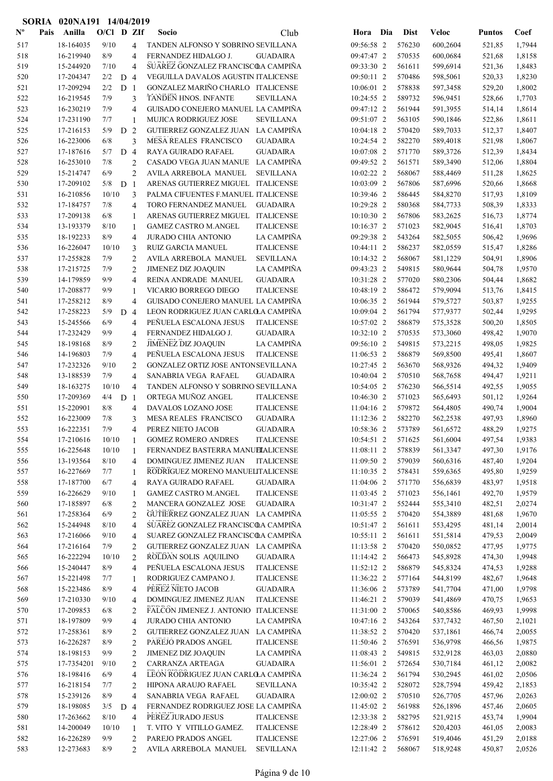|                           |      | SORIA 020NA191 14/04/2019 |              |                |                     |                                                 |                                      |                          |     |                  |                      |                  |                  |
|---------------------------|------|---------------------------|--------------|----------------|---------------------|-------------------------------------------------|--------------------------------------|--------------------------|-----|------------------|----------------------|------------------|------------------|
| $\mathbf{N}^{\mathbf{o}}$ | Pais | Anilla                    | $O/C1$ D ZIf |                |                     | Socio                                           | Club                                 | Hora                     | Dia | <b>Dist</b>      | <b>Veloc</b>         | <b>Puntos</b>    | Coef             |
| 517                       |      | 18-164035                 | 9/10         |                | 4                   | TANDEN ALFONSO Y SOBRINO SEVILLANA              |                                      | 09:56:58 2               |     | 576230           | 600,2604             | 521,85           | 1,7944           |
| 518                       |      | 16-219940                 | 8/9          |                | 4                   | FERNANDEZ HIDALGO J.                            | <b>GUADAIRA</b>                      | 09:47:47 2               |     | 570535           | 600,0684             | 521,68           | 1,8158           |
| 519                       |      | 15-244920                 | 7/10         |                | 4                   | SUAREZ GONZALEZ FRANCISCOA CAMPIÑA              |                                      | 09:33:30 2               |     | 561611           | 599,6914             | 521,36           | 1,8483           |
| 520                       |      | 17-204347                 | 2/2          | D              | $\overline{4}$      | VEGUILLA DAVALOS AGUSTIN ITALICENSE             |                                      | 09:50:11 2               |     | 570486           | 598,5061             | 520,33           | 1,8230           |
| 521                       |      | 17-209294                 | 2/2          | D <sub>1</sub> |                     | GONZALEZ MARIÑO CHARLO ITALICENSE               |                                      | 10:06:01 2               |     | 578838           | 597,3458             | 529,20           | 1,8002           |
| 522                       |      | 16-219545                 | 7/9          |                | 3                   | <b>TANDEN HNOS. INFANTE</b>                     | <b>SEVILLANA</b>                     | 10:24:55 2               |     | 589732           | 596,9451             | 528,66           | 1,7703           |
| 523                       |      | 16-230219                 | 7/9          |                | 4                   | GUISADO CONEJERO MANUEL LA CAMPIÑA              |                                      | 09:47:12 2               |     | 561944           | 591,3955             | 514,14           | 1,8614           |
| 524                       |      | 17-231190                 | 7/7          |                | 1                   | MUJICA RODRIGUEZ JOSE                           | <b>SEVILLANA</b>                     | 09:51:07 2               |     | 563105           | 590,1846             | 522,86           | 1,8611           |
| 525                       |      | 17-216153                 | 5/9          | D <sub>2</sub> |                     | GUTIERREZ GONZALEZ JUAN LA CAMPIÑA              |                                      | 10:04:18 2               |     | 570420           | 589,7033             | 512,37           | 1,8407           |
| 526                       |      | 16-223006                 | 6/8          |                | 3                   | MESA REALES FRANCISCO                           | <b>GUADAIRA</b>                      | 10:24:54 2               |     | 582270           | 589,4018             | 521,98           | 1,8067           |
| 527                       |      | 17-187616                 | 5/7          | D <sub>4</sub> |                     | RAYA GUIRADO RAFAEL                             | <b>GUADAIRA</b>                      | 10:07:08 2               |     | 571770           | 589,3726             | 512,39           | 1,8434           |
| 528                       |      | 16-253010                 | 7/8          |                | $\overline{2}$      | CASADO VEGA JUAN MANUE LA CAMPIÑA               |                                      | 09:49:52 2               |     | 561571           | 589,3490             | 512,06           | 1,8804           |
| 529                       |      | 15-214747                 | 6/9          |                | $\overline{c}$      | AVILA ARREBOLA MANUEL                           | <b>SEVILLANA</b>                     | 10:02:22 2               |     | 568067           | 588,4469             | 511,28           | 1,8625           |
| 530                       |      | 17-209102                 | 5/8          | D <sub>1</sub> |                     | ARENAS GUTIERREZ MIGUEL ITALICENSE              |                                      | 10:03:09 2               |     | 567806           | 587,6996             | 520,66           | 1,8668           |
| 531                       |      | 16-210856                 | 10/10        |                | 3                   | PALMA CIFUENTES F.MANUEL ITALICENSE             |                                      | 10:39:46 2               |     | 586445           | 584,8270             | 517,93           | 1,8109           |
| 532                       |      | 17-184757                 | 7/8          |                | 4                   | TORO FERNANDEZ MANUEL                           | <b>GUADAIRA</b>                      | 10:29:28 2               |     | 580368           | 584,7733             | 508,39           | 1,8333           |
| 533                       |      | 17-209138                 | 6/8          |                | 1                   | ARENAS GUTIERREZ MIGUEL ITALICENSE              |                                      | 10:10:30 2               |     | 567806           | 583,2625             | 516,73           | 1,8774           |
| 534                       |      | 13-193379                 | 8/10         |                | $\mathbf{1}$        | <b>GAMEZ CASTRO M.ANGEL</b>                     | <b>ITALICENSE</b>                    | 10:16:37 2               |     | 571023           | 582,9045             | 516,41           | 1,8703           |
| 535                       |      | 18-192233                 | 8/9          |                | 4                   | <b>JURADO CHIA ANTONIO</b>                      | LA CAMPIÑA                           | 09:29:38 2               |     | 543264           | 582,5055             | 506,42           | 1,9696           |
| 536                       |      | 16-226047                 | 10/10        |                | 3                   | RUIZ GARCIA MANUEL                              | <b>ITALICENSE</b>                    | 10:44:11 2               |     | 586237           | 582,0559             | 515,47           | 1,8286           |
| 537                       |      | 17-255828                 | 7/9          |                | $\overline{2}$      | AVILA ARREBOLA MANUEL                           | <b>SEVILLANA</b>                     | 10:14:32 2               |     | 568067           | 581,1229             | 504,91           | 1,8906           |
| 538                       |      | 17-215725                 | 7/9          |                | 2                   | <b>JIMENEZ DIZ JOAQUIN</b>                      | LA CAMPIÑA                           | 09:43:23 2               |     | 549815           | 580,9644             | 504,78           | 1,9570           |
| 539                       |      | 14-179859                 | 9/9          |                | 4                   | REINA ANDRADE MANUEL                            | <b>GUADAIRA</b>                      | 10:31:28 2               |     | 577020           | 580,2306             | 504,44           | 1,8682           |
| 540                       |      | 17-208877                 | 9/9          |                | 1                   | VICARIO BORREGO DIEGO                           | <b>ITALICENSE</b>                    | 10:48:19 2               |     | 586472           | 579,9094             | 513,76           | 1,8415           |
| 541                       |      | 17-258212                 | 8/9          |                | 4                   | GUISADO CONEJERO MANUEL LA CAMPIÑA              |                                      | $10:06:35$ 2             |     | 561944           | 579,5727             | 503,87           | 1,9255           |
| 542                       |      | 17-258223                 | 5/9          | D              | $\overline{4}$      | LEON RODRIGUEZ JUAN CARLOLA CAMPIÑA             |                                      | 10:09:04 2               |     | 561794           | 577,9377             | 502,44           | 1,9295           |
| 543                       |      | 15-245566                 | 6/9          |                | 4                   | PEÑUELA ESCALONA JESUS                          | <b>ITALICENSE</b>                    | 10:57:02 2               |     | 586879           | 575,3528             | 500,20           | 1,8505           |
| 544                       |      | 17-232429                 | 9/9          |                | 4                   | FERNANDEZ HIDALGO J.                            | <b>GUADAIRA</b>                      | 10:32:10 2               |     | 570535           | 573,3060             | 498,42           | 1,9070           |
| 545                       |      | 18-198168                 | 8/9          |                | $\overline{2}$      | JIMENEZ DIZ JOAQUIN                             | LA CAMPIÑA                           | 09:56:10 2               |     | 549815           | 573,2215             | 498,05           | 1,9825           |
| 546                       |      | 14-196803                 | 7/9          |                | $\overline{4}$      | PEÑUELA ESCALONA JESUS                          | <b>ITALICENSE</b>                    | $11:06:53$ 2             |     | 586879           | 569,8500             | 495,41           | 1,8607           |
| 547                       |      | 17-232326                 | 9/10         |                | $\overline{2}$      | GONZALEZ ORTIZ JOSE ANTONSEVILLANA              |                                      | 10:27:45 2               |     | 563670           | 568,9326             | 494,32           | 1,9409           |
| 548                       |      | 13-188539                 | 7/9          |                | 4                   | SANABRIA VEGA RAFAEL                            | <b>GUADAIRA</b>                      | 10:40:04 2               |     | 570510           | 568,7658             | 494,47           | 1,9211           |
| 549                       |      | 18-163275                 | 10/10        |                | 4                   | TANDEN ALFONSO Y SOBRINO SEVILLANA              |                                      | 10:54:05 2               |     | 576230           | 566,5514             | 492,55           | 1,9055           |
| 550                       |      | 17-209369                 | 4/4          | D <sub>1</sub> |                     | ORTEGA MUÑOZ ANGEL                              | <b>ITALICENSE</b>                    | 10:46:30 2               |     | 571023           | 565,6493             | 501,12           | 1,9264           |
| 551                       |      | 15-220901                 | 8/8          |                | 4                   | DAVALOS LOZANO JOSE                             | <b>ITALICENSE</b>                    | 11:04:16 2               |     | 579872           | 564,4805             | 490,74           | 1,9004           |
| 552                       |      | 16-223009                 | 7/8<br>7/9   |                | 3                   | MESA REALES FRANCISCO                           | <b>GUADAIRA</b>                      | 11:12:36 2<br>10:58:36 2 |     | 582270           | 562,2538             | 497,93           | 1,8960           |
| 553                       |      | 16-222351                 | 10/10        |                | 4                   | PEREZ NIETO JACOB<br><b>GOMEZ ROMERO ANDRES</b> | <b>GUADAIRA</b><br><b>ITALICENSE</b> | 10:54:51 2               |     | 573789           | 561,6572<br>561,6004 | 488,29           | 1,9275<br>1,9383 |
| 554<br>555                |      | 17-210616<br>16-225648    | 10/10        |                | 1                   | FERNANDEZ BASTERRA MANUELALICENSE               |                                      | 11:08:11 2               |     | 571625<br>578839 | 561,3347             | 497,54           |                  |
| 556                       |      | 13-193564                 | 8/10         |                | 1                   | DOMINGUEZ JIMENEZ JUAN                          | <b>ITALICENSE</b>                    | 11:09:50 2               |     | 579039           | 560,6316             | 497,30<br>487,40 | 1,9176<br>1,9204 |
| 557                       |      | 16-227669                 | 7/7          |                | $\overline{4}$<br>1 | RODRIGUEZ MORENO MANUELITALICENSE               |                                      | 11:10:35 2               |     | 578431           | 559,6365             | 495,80           | 1,9259           |
| 558                       |      | 17-187700                 | 6/7          |                | 4                   | RAYA GUIRADO RAFAEL                             | <b>GUADAIRA</b>                      | 11:04:06 2               |     | 571770           | 556,6839             | 483,97           | 1,9518           |
| 559                       |      | 16-226629                 | 9/10         |                | 1                   | <b>GAMEZ CASTRO M.ANGEL</b>                     | <b>ITALICENSE</b>                    | 11:03:45 2               |     | 571023           | 556,1461             | 492,70           | 1,9579           |
| 560                       |      | 17-185897                 | 6/8          |                | $\overline{c}$      | MANCERA GONZALEZ JOSE                           | <b>GUADAIRA</b>                      | 10:31:47 2               |     | 552444           | 555,3410             | 482,51           | 2,0274           |
| 561                       |      | 17-258364                 | 6/9          |                | $\overline{c}$      | GUTIERREZ GONZALEZ JUAN LA CAMPIÑA              |                                      | 11:05:55 2               |     | 570420           | 554,3889             | 481,68           | 1,9670           |
| 562                       |      | 15-244948                 | 8/10         |                | 4                   | SUAREZ GONZALEZ FRANCISCOA CAMPIÑA              |                                      | 10:51:47 2               |     | 561611           | 553,4295             | 481,14           | 2,0014           |
| 563                       |      | 17-216066                 | 9/10         |                | 4                   | SUAREZ GONZALEZ FRANCISCOA CAMPIÑA              |                                      | 10:55:11 2               |     | 561611           | 551,5814             | 479,53           | 2,0049           |
| 564                       |      | 17-216164                 | 7/9          |                | 2                   | GUTIERREZ GONZALEZ JUAN LA CAMPIÑA              |                                      | 11:13:58 2               |     | 570420           | 550,0852             | 477,95           | 1,9775           |
| 565                       |      | 16-222294                 | 10/10        |                | 2                   | ROLDAN SOLIS AQUILINO                           | <b>GUADAIRA</b>                      | 11:14:42 2               |     | 566473           | 545,8928             | 474,30           | 1,9948           |
| 566                       |      | 15-240447                 | 8/9          |                | 4                   | PEÑUELA ESCALONA JESUS                          | <b>ITALICENSE</b>                    | 11:52:12 2               |     | 586879           | 545,8324             | 474,53           | 1,9288           |
| 567                       |      | 15-221498                 | 7/7          |                | 1                   | RODRIGUEZ CAMPANO J.                            | <b>ITALICENSE</b>                    | 11:36:22 2               |     | 577164           | 544,8199             | 482,67           | 1,9648           |
| 568                       |      | 15-223486                 | 8/9          |                | $\overline{4}$      | PEREZ NIETO JACOB                               | <b>GUADAIRA</b>                      | 11:36:06 2               |     | 573789           | 541,7704             | 471,00           | 1,9798           |
| 569                       |      | 17-210330                 | 9/10         |                | 4                   | DOMINGUEZ JIMENEZ JUAN                          | <b>ITALICENSE</b>                    | 11:46:21 2               |     | 579039           | 541,4869             | 470,75           | 1,9653           |
| 570                       |      | 17-209853                 | 6/8          |                | 2                   | FALCON JIMENEZ J. ANTONIO ITALICENSE            |                                      | 11:31:00 2               |     | 570065           | 540,8586             | 469,93           | 1,9998           |
| 571                       |      | 18-197809                 | 9/9          |                | $\overline{4}$      | JURADO CHIA ANTONIO                             | LA CAMPIÑA                           | 10:47:16 2               |     | 543264           | 537,7432             | 467,50           | 2,1021           |
| 572                       |      | 17-258361                 | 8/9          |                | $\overline{c}$      | GUTIERREZ GONZALEZ JUAN                         | LA CAMPIÑA                           | 11:38:52 2               |     | 570420           | 537,1861             | 466,74           | 2,0055           |
| 573                       |      | 16-226287                 | 8/9          |                | $\overline{c}$      | PAREJO PRADOS ANGEL                             | <b>ITALICENSE</b>                    | 11:50:46 2               |     | 576591           | 536,9798             | 466,56           | 1,9875           |
| 574                       |      | 18-198153                 | 9/9          |                | $\overline{2}$      | <b>JIMENEZ DIZ JOAQUIN</b>                      | LA CAMPIÑA                           | 11:08:43 2               |     | 549815           | 532,9128             | 463,03           | 2,0880           |
| 575                       |      | 17-7354201                | 9/10         |                | 2                   | CARRANZA ARTEAGA                                | <b>GUADAIRA</b>                      | 11:56:01 2               |     | 572654           | 530,7184             | 461,12           | 2,0082           |
| 576                       |      | 18-198416                 | 6/9          |                | 4                   | LEON RODRIGUEZ JUAN CARLOLA CAMPIÑA             |                                      | 11:36:24 2               |     | 561794           | 530,2945             | 461,02           | 2,0506           |
| 577                       |      | 16-218154                 | 7/7          |                | 2                   | HIPONA ARAUJO RAFAEL                            | <b>SEVILLANA</b>                     | 10:35:42 2               |     | 528072           | 528,7594             | 459,42           | 2,1853           |
| 578                       |      | 15-239126                 | 8/9          |                | 4                   | SANABRIA VEGA RAFAEL                            | <b>GUADAIRA</b>                      | 12:00:02 2               |     | 570510           | 526,7705             | 457,96           | 2,0263           |
| 579                       |      | 18-198085                 | 3/5          | D <sub>4</sub> |                     | FERNANDEZ RODRIGUEZ JOSE LA CAMPIÑA             |                                      | 11:45:02 2               |     | 561988           | 526,1896             | 457,46           | 2,0605           |
| 580                       |      | 17-263662                 | $8/10$       |                | 4                   | PEREZ JURADO JESUS                              | <b>ITALICENSE</b>                    | 12:33:38 2               |     | 582795           | 521,9215             | 453,74           | 1,9904           |
| 581                       |      | 14-200049                 | 10/10        |                | 1                   | T. VITO Y VITILLO GAMEZ.                        | <b>ITALICENSE</b>                    | 12:28:49 2               |     | 578612           | 520,4203             | 461,05           | 2,0083           |
| 582                       |      | 16-226289                 | 9/9          |                | 2                   | PAREJO PRADOS ANGEL                             | <b>ITALICENSE</b>                    | 12:27:06 2               |     | 576591           | 519,4046             | 451,29           | 2,0188           |
| 583                       |      | 12-273683                 | 8/9          |                | $\overline{2}$      | AVILA ARREBOLA MANUEL                           | <b>SEVILLANA</b>                     | 12:11:42 2               |     | 568067           | 518,9248             | 450,87           | 2,0526           |